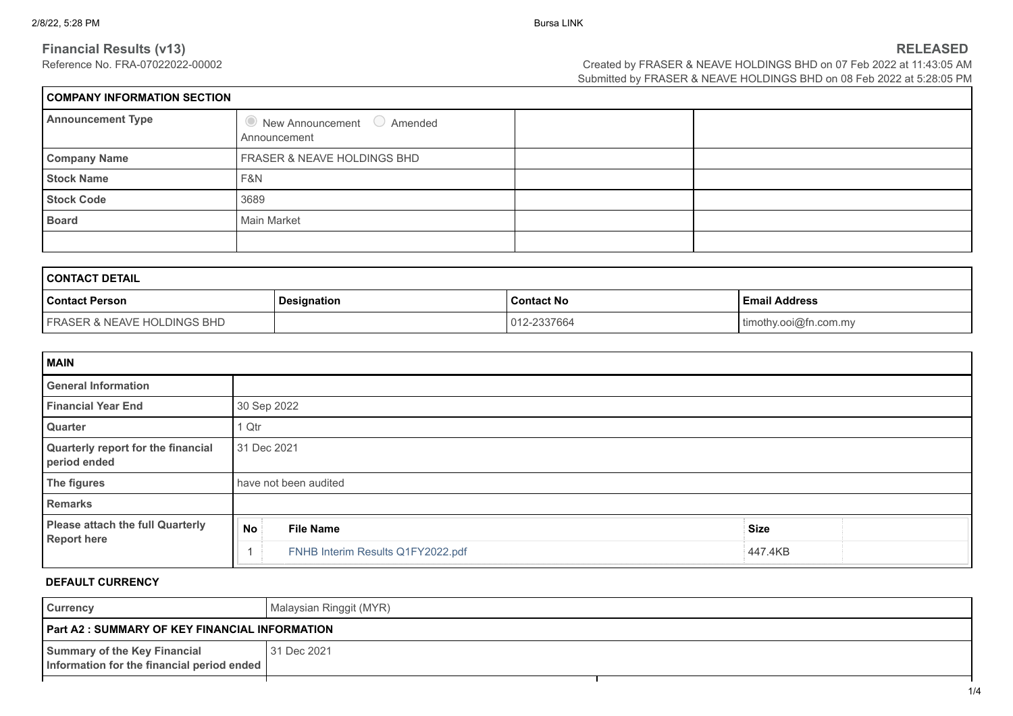$\Gamma$ 

**Financial Results (v13)**<br>RELEASED<br>Created by FRASER & NEAVE HOLDINGS BHD on 07 Feb 2022 at 11:43:05 AM Created by FRASER & NEAVE HOLDINGS BHD on 07 Feb 2022 at 11:43:05 AM Submitted by FRASER & NEAVE HOLDINGS BHD on 08 Feb 2022 at 5:28:05 PM

| <b>COMPANY INFORMATION SECTION</b> |                                                            |  |  |  |  |
|------------------------------------|------------------------------------------------------------|--|--|--|--|
| <b>Announcement Type</b>           | $\bullet$ New Announcement $\circ$ Amended<br>Announcement |  |  |  |  |
| <b>Company Name</b>                | FRASER & NEAVE HOLDINGS BHD                                |  |  |  |  |
| <b>Stock Name</b>                  | F&N                                                        |  |  |  |  |
| <b>Stock Code</b>                  | 3689                                                       |  |  |  |  |
| <b>Board</b>                       | Main Market                                                |  |  |  |  |
|                                    |                                                            |  |  |  |  |

| <b>CONTACT DETAIL</b>                                                               |  |             |                       |  |  |
|-------------------------------------------------------------------------------------|--|-------------|-----------------------|--|--|
| <b>Email Address</b><br>l Contact Person<br><b>Contact No</b><br><b>Designation</b> |  |             |                       |  |  |
| <b>FRASER &amp; NEAVE HOLDINGS BHD</b>                                              |  | 012-2337664 | timothy.ooi@fn.com.my |  |  |

| <b>MAIN</b>                                                   |                                   |             |  |  |  |
|---------------------------------------------------------------|-----------------------------------|-------------|--|--|--|
| <b>General Information</b>                                    |                                   |             |  |  |  |
| <b>Financial Year End</b>                                     | 30 Sep 2022                       |             |  |  |  |
| Quarter                                                       | 1 Qtr                             |             |  |  |  |
| Quarterly report for the financial<br>period ended            | 31 Dec 2021                       |             |  |  |  |
| The figures                                                   | have not been audited             |             |  |  |  |
| <b>Remarks</b>                                                |                                   |             |  |  |  |
| <b>Please attach the full Quarterly</b><br><b>Report here</b> | <b>File Name</b><br>No i          | <b>Size</b> |  |  |  |
|                                                               | FNHB Interim Results Q1FY2022.pdf | 447.4KB     |  |  |  |

# **DEFAULT CURRENCY**

| <b>Currency</b>                                                            | Malaysian Ringgit (MYR) |  |
|----------------------------------------------------------------------------|-------------------------|--|
| <b>Part A2 : SUMMARY OF KEY FINANCIAL INFORMATION</b>                      |                         |  |
| Summary of the Key Financial<br>Information for the financial period ended | 31 Dec 2021             |  |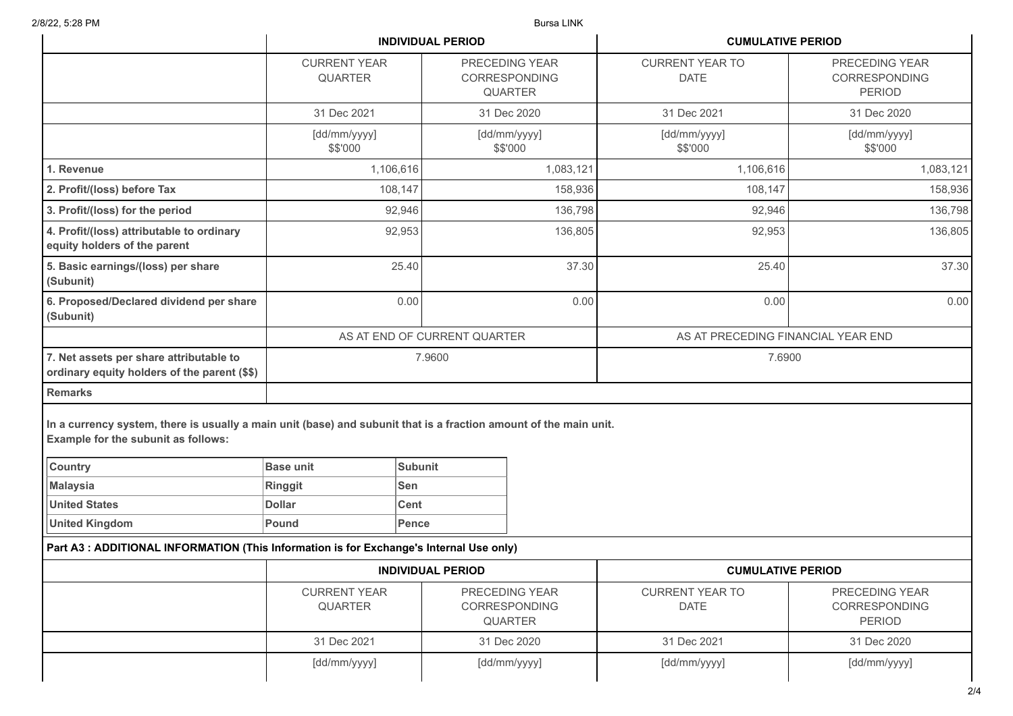|                                                                                                                                                          |                                       | <b>INDIVIDUAL PERIOD</b>                                 |                          | <b>CUMULATIVE PERIOD</b>              |                                                         |  |
|----------------------------------------------------------------------------------------------------------------------------------------------------------|---------------------------------------|----------------------------------------------------------|--------------------------|---------------------------------------|---------------------------------------------------------|--|
|                                                                                                                                                          | <b>CURRENT YEAR</b><br><b>QUARTER</b> | PRECEDING YEAR<br><b>CORRESPONDING</b><br><b>QUARTER</b> |                          | <b>CURRENT YEAR TO</b><br><b>DATE</b> | PRECEDING YEAR<br><b>CORRESPONDING</b><br><b>PERIOD</b> |  |
|                                                                                                                                                          | 31 Dec 2021                           |                                                          | 31 Dec 2020              | 31 Dec 2021                           | 31 Dec 2020                                             |  |
|                                                                                                                                                          | [dd/mm/yyyy]<br>\$\$'000              |                                                          | [dd/mm/yyyy]<br>\$\$'000 | [dd/mm/yyyy]<br>\$\$'000              | [dd/mm/yyyy]<br>\$\$'000                                |  |
| 1. Revenue                                                                                                                                               | 1,106,616                             |                                                          | 1,083,121                | 1,106,616                             | 1,083,121                                               |  |
| 2. Profit/(loss) before Tax                                                                                                                              | 108,147                               |                                                          | 158,936                  | 108,147                               | 158,936                                                 |  |
| 3. Profit/(loss) for the period                                                                                                                          | 92,946                                |                                                          | 136,798                  | 92,946                                | 136,798                                                 |  |
| 4. Profit/(loss) attributable to ordinary<br>equity holders of the parent                                                                                | 92,953                                |                                                          | 136,805                  | 92,953                                | 136,805                                                 |  |
| 5. Basic earnings/(loss) per share<br>(Subunit)                                                                                                          | 25.40                                 | 37.30                                                    |                          | 25.40                                 | 37.30                                                   |  |
| 6. Proposed/Declared dividend per share<br>(Subunit)                                                                                                     |                                       | 0.00<br>0.00                                             |                          | 0.00                                  | 0.00                                                    |  |
|                                                                                                                                                          |                                       | AS AT END OF CURRENT QUARTER                             |                          | AS AT PRECEDING FINANCIAL YEAR END    |                                                         |  |
| 7. Net assets per share attributable to<br>ordinary equity holders of the parent (\$\$)                                                                  | 7.9600                                |                                                          |                          | 7.6900                                |                                                         |  |
| <b>Remarks</b>                                                                                                                                           |                                       |                                                          |                          |                                       |                                                         |  |
| In a currency system, there is usually a main unit (base) and subunit that is a fraction amount of the main unit.<br>Example for the subunit as follows: |                                       |                                                          |                          |                                       |                                                         |  |
| <b>Country</b>                                                                                                                                           | <b>Base unit</b>                      | <b>Subunit</b>                                           |                          |                                       |                                                         |  |
| <b>Malaysia</b>                                                                                                                                          | Ringgit                               | <b>Sen</b>                                               |                          |                                       |                                                         |  |
| <b>United States</b>                                                                                                                                     | <b>Dollar</b>                         | <b>Cent</b>                                              |                          |                                       |                                                         |  |
| <b>United Kingdom</b>                                                                                                                                    | Pound                                 | Pence                                                    |                          |                                       |                                                         |  |
| Part A3 : ADDITIONAL INFORMATION (This Information is for Exchange's Internal Use only)                                                                  |                                       |                                                          |                          |                                       |                                                         |  |
|                                                                                                                                                          | <b>INDIVIDUAL PERIOD</b>              |                                                          | <b>CUMULATIVE PERIOD</b> |                                       |                                                         |  |
|                                                                                                                                                          | <b>CURRENT YEAR</b><br><b>QUARTER</b> | PRECEDING YEAR<br><b>CORRESPONDING</b><br><b>QUARTER</b> |                          | <b>CURRENT YEAR TO</b><br><b>DATE</b> | PRECEDING YEAR<br><b>CORRESPONDING</b><br><b>PERIOD</b> |  |
|                                                                                                                                                          | 31 Dec 2021                           |                                                          | 31 Dec 2020              | 31 Dec 2021                           | 31 Dec 2020                                             |  |
|                                                                                                                                                          | [dd/mm/yyyy]                          | [dd/mm/yyyy]                                             |                          | [dd/mm/yyyy]                          | [dd/mm/yyyy]                                            |  |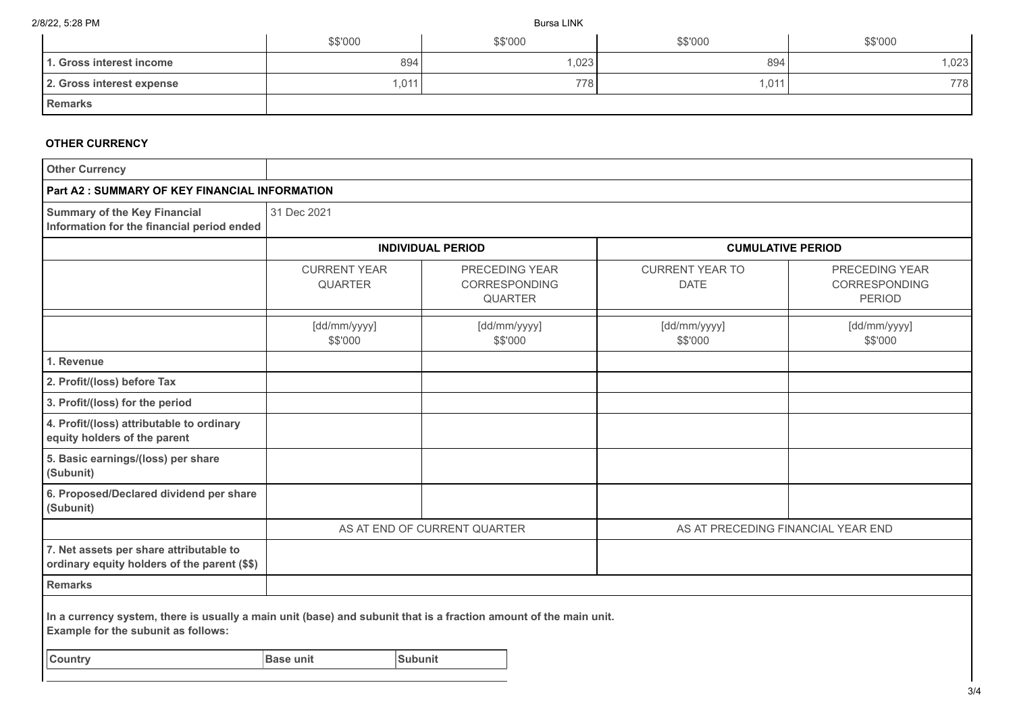|                           | \$\$'000 | \$\$'000 | \$\$'000 | \$\$'000 |
|---------------------------|----------|----------|----------|----------|
| 1. Gross interest income  | 894      | ,023     | 894      | ,023     |
| 2. Gross interest expense | 1,011    | 778      | ,011     | 778      |
| <b>Remarks</b>            |          |          |          |          |

## **OTHER CURRENCY**

| <b>Other Currency</b>                                                                                                                                    |                                       |                                 |                          |                                       |                                                  |  |
|----------------------------------------------------------------------------------------------------------------------------------------------------------|---------------------------------------|---------------------------------|--------------------------|---------------------------------------|--------------------------------------------------|--|
| <b>Part A2: SUMMARY OF KEY FINANCIAL INFORMATION</b>                                                                                                     |                                       |                                 |                          |                                       |                                                  |  |
| <b>Summary of the Key Financial</b><br>Information for the financial period ended                                                                        | 31 Dec 2021                           |                                 |                          |                                       |                                                  |  |
|                                                                                                                                                          |                                       | <b>INDIVIDUAL PERIOD</b>        |                          | <b>CUMULATIVE PERIOD</b>              |                                                  |  |
|                                                                                                                                                          | <b>CURRENT YEAR</b><br><b>QUARTER</b> | PRECEDING YEAR<br>CORRESPONDING | <b>QUARTER</b>           | <b>CURRENT YEAR TO</b><br><b>DATE</b> | PRECEDING YEAR<br>CORRESPONDING<br><b>PERIOD</b> |  |
|                                                                                                                                                          | [dd/mm/yyyy]<br>\$\$'000              |                                 | [dd/mm/yyyy]<br>\$\$'000 | [dd/mm/yyyy]<br>\$\$'000              | [dd/mm/yyyy]<br>\$\$'000                         |  |
| 1. Revenue                                                                                                                                               |                                       |                                 |                          |                                       |                                                  |  |
| 2. Profit/(loss) before Tax                                                                                                                              |                                       |                                 |                          |                                       |                                                  |  |
| 3. Profit/(loss) for the period                                                                                                                          |                                       |                                 |                          |                                       |                                                  |  |
| 4. Profit/(loss) attributable to ordinary<br>equity holders of the parent                                                                                |                                       |                                 |                          |                                       |                                                  |  |
| 5. Basic earnings/(loss) per share<br>(Subunit)                                                                                                          |                                       |                                 |                          |                                       |                                                  |  |
| 6. Proposed/Declared dividend per share<br>(Subunit)                                                                                                     |                                       |                                 |                          |                                       |                                                  |  |
|                                                                                                                                                          |                                       | AS AT END OF CURRENT QUARTER    |                          | AS AT PRECEDING FINANCIAL YEAR END    |                                                  |  |
| 7. Net assets per share attributable to<br>ordinary equity holders of the parent (\$\$)                                                                  |                                       |                                 |                          |                                       |                                                  |  |
| <b>Remarks</b>                                                                                                                                           |                                       |                                 |                          |                                       |                                                  |  |
| In a currency system, there is usually a main unit (base) and subunit that is a fraction amount of the main unit.<br>Example for the subunit as follows: |                                       |                                 |                          |                                       |                                                  |  |
| <b>Country</b>                                                                                                                                           | <b>Base unit</b>                      | Subunit                         |                          |                                       |                                                  |  |
|                                                                                                                                                          |                                       |                                 |                          |                                       |                                                  |  |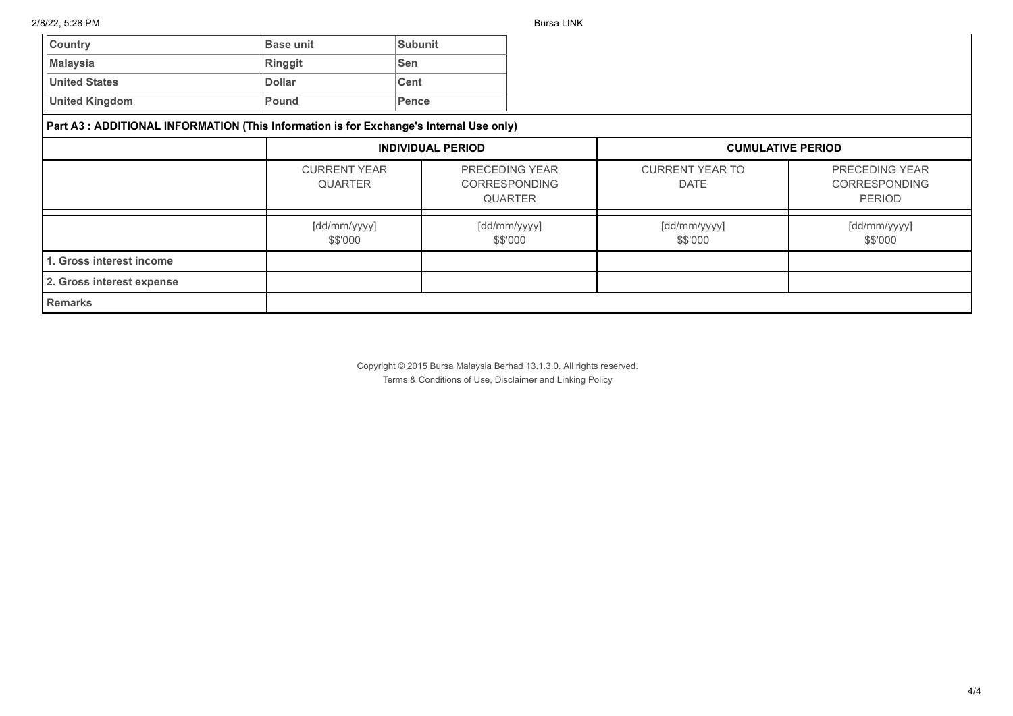| <b>Country</b>                                                                          | <b>Base unit</b>                      | <b>Subunit</b> |                                                                 |                                       |                                                                |  |
|-----------------------------------------------------------------------------------------|---------------------------------------|----------------|-----------------------------------------------------------------|---------------------------------------|----------------------------------------------------------------|--|
| <b>Malaysia</b>                                                                         | Ringgit                               | Sen            |                                                                 |                                       |                                                                |  |
| <b>United States</b>                                                                    | <b>Dollar</b>                         | <b>Cent</b>    |                                                                 |                                       |                                                                |  |
| <b>United Kingdom</b>                                                                   | Pound                                 | Pence          |                                                                 |                                       |                                                                |  |
| Part A3 : ADDITIONAL INFORMATION (This Information is for Exchange's Internal Use only) |                                       |                |                                                                 |                                       |                                                                |  |
|                                                                                         | <b>INDIVIDUAL PERIOD</b>              |                |                                                                 | <b>CUMULATIVE PERIOD</b>              |                                                                |  |
|                                                                                         | <b>CURRENT YEAR</b><br><b>QUARTER</b> |                | <b>PRECEDING YEAR</b><br><b>CORRESPONDING</b><br><b>QUARTER</b> | <b>CURRENT YEAR TO</b><br><b>DATE</b> | <b>PRECEDING YEAR</b><br><b>CORRESPONDING</b><br><b>PERIOD</b> |  |
|                                                                                         | [dd/mm/yyyy]<br>\$\$'000              |                | [dd/mm/yyyy]<br>\$\$'000                                        | [dd/mm/yyyy]<br>\$\$'000              | [dd/mm/yyyy]<br>\$\$'000                                       |  |
| 1. Gross interest income                                                                |                                       |                |                                                                 |                                       |                                                                |  |
| 2. Gross interest expense                                                               |                                       |                |                                                                 |                                       |                                                                |  |
| <b>Remarks</b>                                                                          |                                       |                |                                                                 |                                       |                                                                |  |

Copyright © 2015 Bursa Malaysia Berhad 13.1.3.0. All rights reserved. Terms & Conditions of Use, Disclaimer and Linking Policy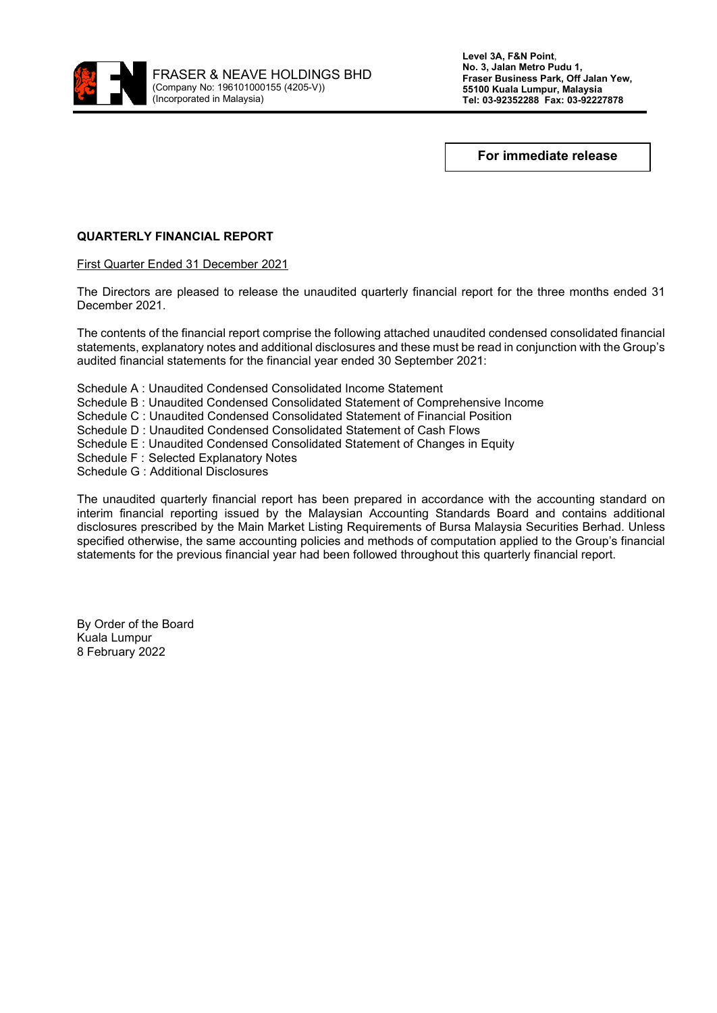

**Level 3A, F&N Point**, **No. 3, Jalan Metro Pudu 1, Fraser Business Park, Off Jalan Yew, 55100 Kuala Lumpur, Malaysia Tel: 03-92352288 Fax: 03-92227878**

**For immediate release**

# **QUARTERLY FINANCIAL REPORT**

First Quarter Ended 31 December 2021

The Directors are pleased to release the unaudited quarterly financial report for the three months ended 31 December 2021.

The contents of the financial report comprise the following attached unaudited condensed consolidated financial statements, explanatory notes and additional disclosures and these must be read in conjunction with the Group's audited financial statements for the financial year ended 30 September 2021:

Schedule A : Unaudited Condensed Consolidated Income Statement Schedule B : Unaudited Condensed Consolidated Statement of Comprehensive Income Schedule C : Unaudited Condensed Consolidated Statement of Financial Position Schedule D : Unaudited Condensed Consolidated Statement of Cash Flows Schedule E : Unaudited Condensed Consolidated Statement of Changes in Equity Schedule F : Selected Explanatory Notes Schedule G : Additional Disclosures

The unaudited quarterly financial report has been prepared in accordance with the accounting standard on interim financial reporting issued by the Malaysian Accounting Standards Board and contains additional disclosures prescribed by the Main Market Listing Requirements of Bursa Malaysia Securities Berhad. Unless specified otherwise, the same accounting policies and methods of computation applied to the Group's financial statements for the previous financial year had been followed throughout this quarterly financial report.

By Order of the Board Kuala Lumpur 8 February 2022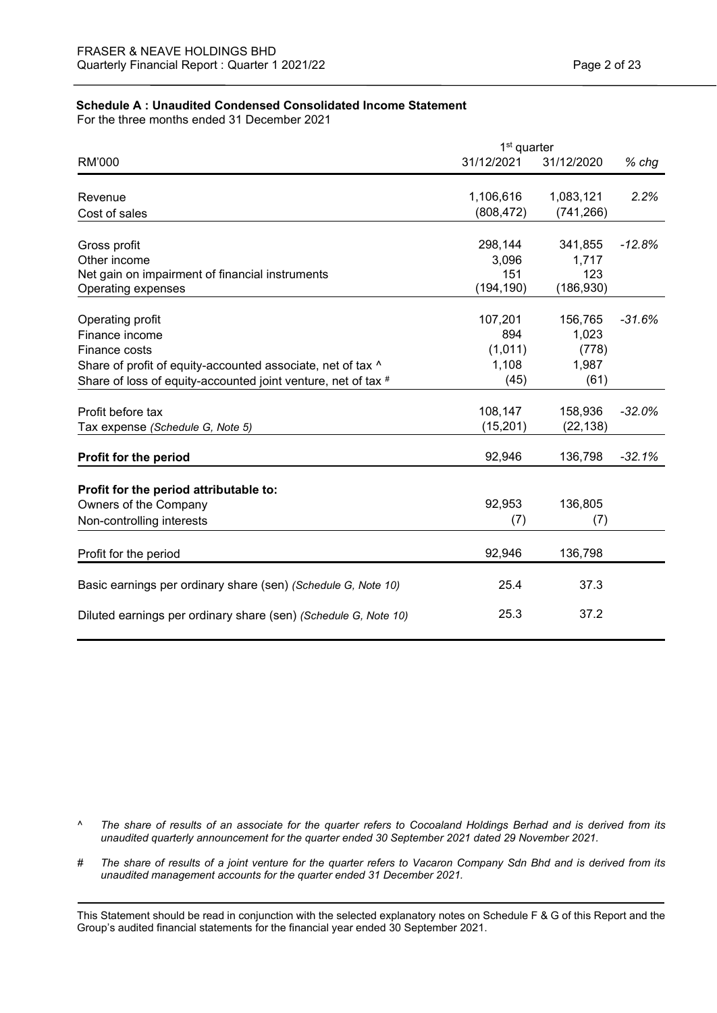# **Schedule A : Unaudited Condensed Consolidated Income Statement**

For the three months ended 31 December 2021

| 1 <sup>st</sup> quarter                                         |            |            |          |
|-----------------------------------------------------------------|------------|------------|----------|
| RM'000                                                          | 31/12/2021 | 31/12/2020 | $%$ chg  |
|                                                                 |            |            |          |
| Revenue                                                         | 1,106,616  | 1,083,121  | 2.2%     |
| Cost of sales                                                   | (808, 472) | (741, 266) |          |
| Gross profit                                                    | 298,144    | 341,855    | $-12.8%$ |
| Other income                                                    | 3,096      | 1,717      |          |
| Net gain on impairment of financial instruments                 | 151        | 123        |          |
| Operating expenses                                              | (194, 190) | (186, 930) |          |
| Operating profit                                                | 107,201    | 156,765    | $-31.6%$ |
| Finance income                                                  | 894        | 1,023      |          |
| Finance costs                                                   | (1,011)    | (778)      |          |
| Share of profit of equity-accounted associate, net of tax ^     | 1,108      | 1,987      |          |
| Share of loss of equity-accounted joint venture, net of tax #   | (45)       | (61)       |          |
| Profit before tax                                               | 108,147    | 158,936    | $-32.0%$ |
| Tax expense (Schedule G, Note 5)                                | (15, 201)  | (22, 138)  |          |
| Profit for the period                                           | 92,946     | 136,798    | $-32.1%$ |
| Profit for the period attributable to:                          |            |            |          |
| Owners of the Company                                           | 92,953     | 136,805    |          |
| Non-controlling interests                                       | (7)        | (7)        |          |
| Profit for the period                                           | 92,946     | 136,798    |          |
| Basic earnings per ordinary share (sen) (Schedule G, Note 10)   | 25.4       | 37.3       |          |
| Diluted earnings per ordinary share (sen) (Schedule G, Note 10) | 25.3       | 37.2       |          |

- *^ The share of results of an associate for the quarter refers to Cocoaland Holdings Berhad and is derived from its unaudited quarterly announcement for the quarter ended 30 September 2021 dated 29 November 2021.*
- *# The share of results of a joint venture for the quarter refers to Vacaron Company Sdn Bhd and is derived from its unaudited management accounts for the quarter ended 31 December 2021.*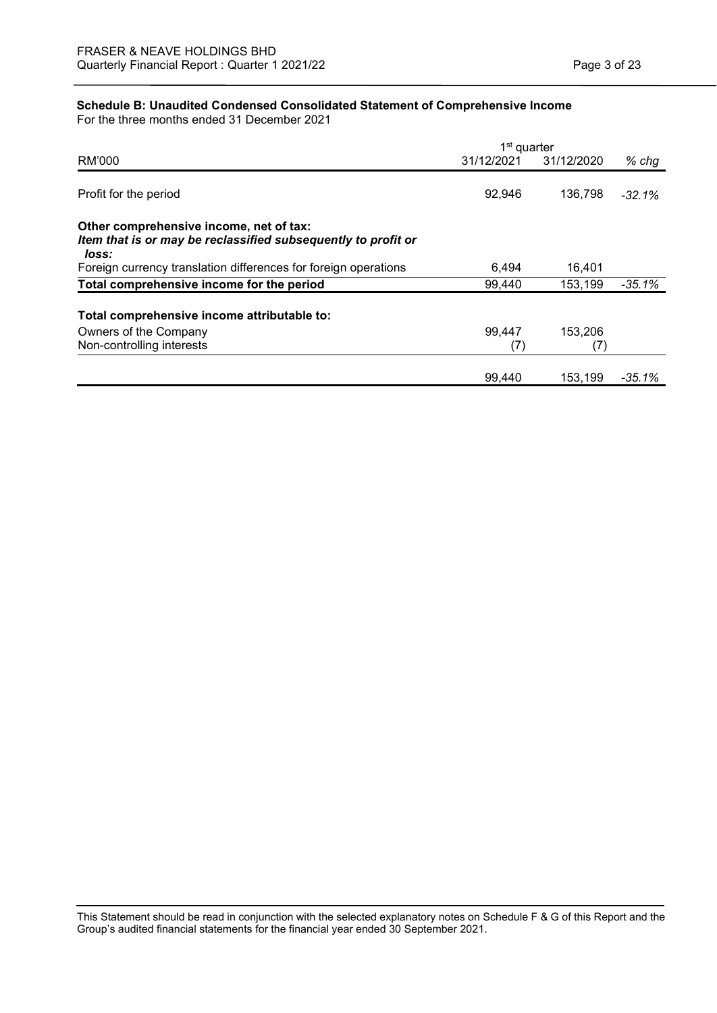# **Schedule B: Unaudited Condensed Consolidated Statement of Comprehensive Income**

For the three months ended 31 December 2021

|                                                                                                                   | 1 <sup>st</sup> quarter |            |           |
|-------------------------------------------------------------------------------------------------------------------|-------------------------|------------|-----------|
| RM'000                                                                                                            | 31/12/2021              | 31/12/2020 | $%$ chg   |
| Profit for the period                                                                                             | 92,946                  | 136.798    | $-32.1\%$ |
| Other comprehensive income, net of tax:<br>Item that is or may be reclassified subsequently to profit or<br>loss: |                         |            |           |
| Foreign currency translation differences for foreign operations                                                   | 6,494                   | 16,401     |           |
| Total comprehensive income for the period                                                                         | 99,440                  | 153,199    | $-35.1%$  |
| Total comprehensive income attributable to:                                                                       |                         |            |           |
| Owners of the Company                                                                                             | 99.447                  | 153,206    |           |
| Non-controlling interests                                                                                         | (7)                     | (7)        |           |
|                                                                                                                   | 99,440                  | 153,199    | -35.1%    |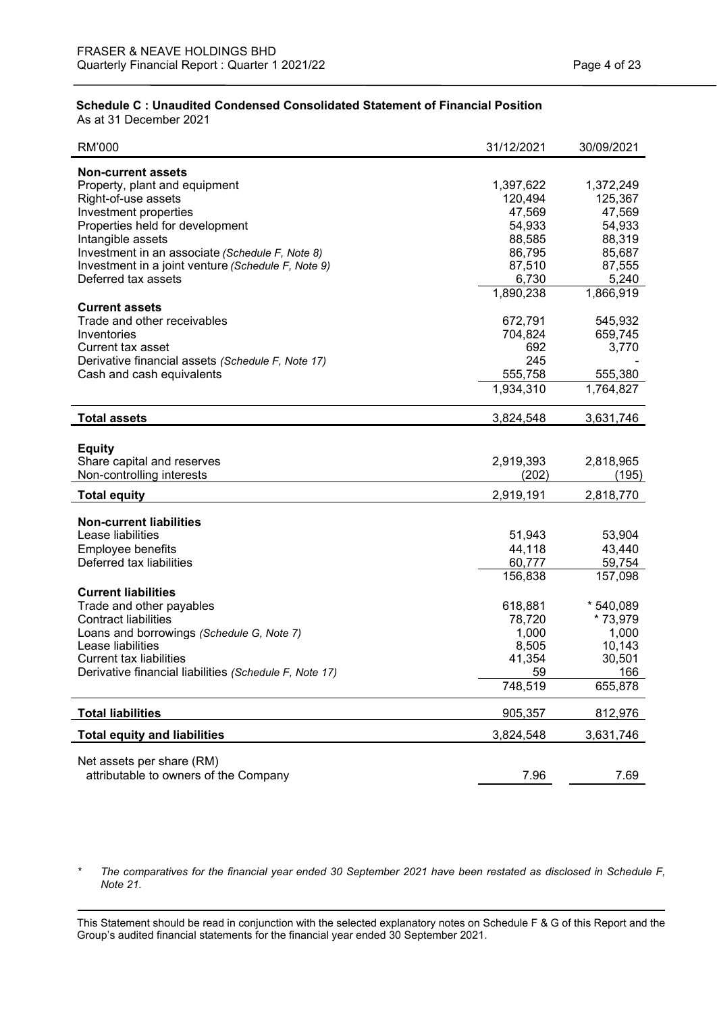# **Schedule C : Unaudited Condensed Consolidated Statement of Financial Position**

As at 31 December 2021

| RM'000                                                 | 31/12/2021 | 30/09/2021 |
|--------------------------------------------------------|------------|------------|
| <b>Non-current assets</b>                              |            |            |
| Property, plant and equipment                          | 1,397,622  | 1,372,249  |
| Right-of-use assets                                    | 120,494    | 125,367    |
| Investment properties                                  | 47,569     | 47,569     |
| Properties held for development                        | 54,933     | 54,933     |
| Intangible assets                                      | 88,585     | 88,319     |
| Investment in an associate (Schedule F, Note 8)        | 86,795     | 85,687     |
| Investment in a joint venture (Schedule F, Note 9)     | 87,510     | 87,555     |
| Deferred tax assets                                    | 6,730      | 5,240      |
|                                                        | 1,890,238  | 1,866,919  |
| <b>Current assets</b>                                  |            |            |
| Trade and other receivables                            | 672,791    | 545,932    |
| Inventories                                            | 704,824    | 659,745    |
| Current tax asset                                      | 692        | 3,770      |
| Derivative financial assets (Schedule F, Note 17)      | 245        |            |
| Cash and cash equivalents                              | 555,758    | 555,380    |
|                                                        | 1,934,310  | 1,764,827  |
| <b>Total assets</b>                                    | 3,824,548  | 3,631,746  |
|                                                        |            |            |
| <b>Equity</b>                                          |            |            |
| Share capital and reserves                             | 2,919,393  | 2,818,965  |
| Non-controlling interests                              | (202)      | (195)      |
| <b>Total equity</b>                                    | 2,919,191  | 2,818,770  |
| <b>Non-current liabilities</b>                         |            |            |
| Lease liabilities                                      | 51,943     | 53,904     |
| Employee benefits                                      | 44,118     | 43,440     |
| Deferred tax liabilities                               | 60,777     | 59,754     |
|                                                        | 156,838    | 157,098    |
| <b>Current liabilities</b>                             |            |            |
| Trade and other payables                               | 618,881    | * 540,089  |
| <b>Contract liabilities</b>                            | 78,720     | * 73,979   |
| Loans and borrowings (Schedule G, Note 7)              | 1,000      | 1,000      |
| Lease liabilities                                      | 8,505      | 10,143     |
| <b>Current tax liabilities</b>                         | 41,354     | 30,501     |
| Derivative financial liabilities (Schedule F, Note 17) | 59         | 166        |
|                                                        | 748,519    | 655,878    |
| <b>Total liabilities</b>                               | 905,357    | 812,976    |
| <b>Total equity and liabilities</b>                    | 3,824,548  | 3,631,746  |
|                                                        |            |            |
| Net assets per share (RM)                              |            |            |
| attributable to owners of the Company                  | 7.96       | 7.69       |

*\* The comparatives for the financial year ended 30 September 2021 have been restated as disclosed in Schedule F, Note 21.*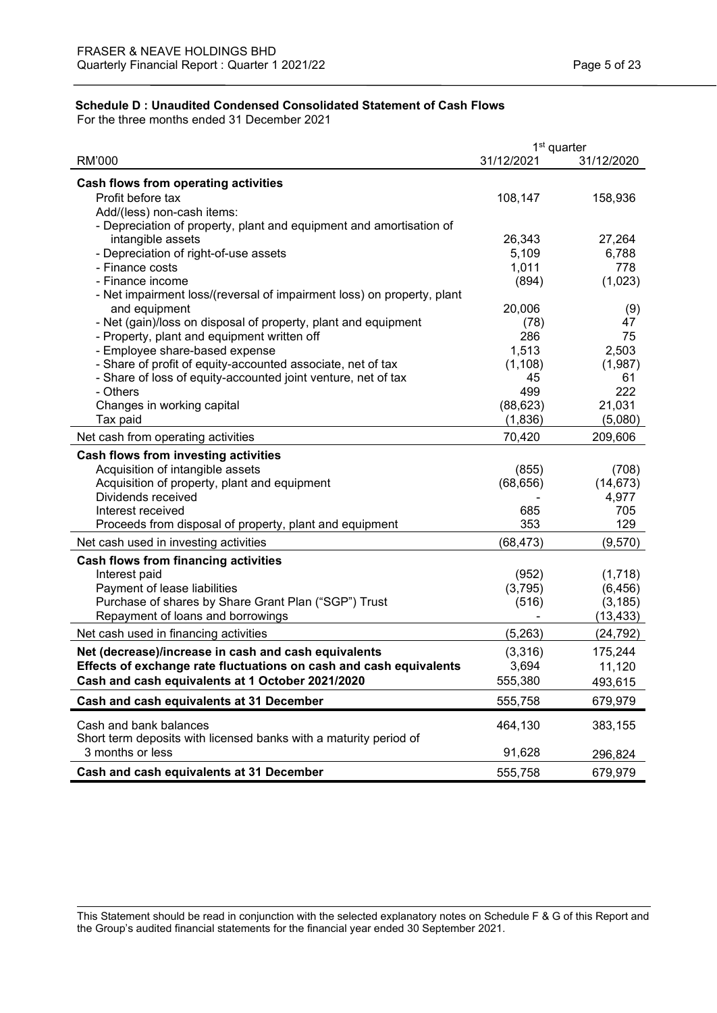# **Schedule D : Unaudited Condensed Consolidated Statement of Cash Flows**

For the three months ended 31 December 2021

|                                                                        | 1 <sup>st</sup> quarter |            |
|------------------------------------------------------------------------|-------------------------|------------|
| <b>RM'000</b>                                                          | 31/12/2021              | 31/12/2020 |
| Cash flows from operating activities                                   |                         |            |
| Profit before tax                                                      | 108,147                 | 158,936    |
| Add/(less) non-cash items:                                             |                         |            |
| - Depreciation of property, plant and equipment and amortisation of    |                         |            |
| intangible assets                                                      | 26,343                  | 27,264     |
| - Depreciation of right-of-use assets                                  | 5,109                   | 6,788      |
| - Finance costs                                                        | 1,011                   | 778        |
| - Finance income                                                       | (894)                   | (1,023)    |
| - Net impairment loss/(reversal of impairment loss) on property, plant |                         |            |
| and equipment                                                          | 20,006                  | (9)        |
| - Net (gain)/loss on disposal of property, plant and equipment         | (78)                    | 47         |
| - Property, plant and equipment written off                            | 286                     | 75         |
| - Employee share-based expense                                         | 1,513                   | 2,503      |
| - Share of profit of equity-accounted associate, net of tax            | (1, 108)                | (1,987)    |
| - Share of loss of equity-accounted joint venture, net of tax          | 45                      | 61         |
| - Others                                                               | 499                     | 222        |
| Changes in working capital                                             | (88, 623)               | 21,031     |
| Tax paid                                                               | (1,836)                 | (5,080)    |
| Net cash from operating activities                                     | 70,420                  | 209,606    |
| <b>Cash flows from investing activities</b>                            |                         |            |
| Acquisition of intangible assets                                       | (855)                   | (708)      |
| Acquisition of property, plant and equipment                           | (68, 656)               | (14, 673)  |
| Dividends received                                                     |                         | 4,977      |
| Interest received                                                      | 685                     | 705        |
| Proceeds from disposal of property, plant and equipment                | 353                     | 129        |
| Net cash used in investing activities                                  | (68, 473)               | (9,570)    |
| <b>Cash flows from financing activities</b>                            |                         |            |
| Interest paid                                                          | (952)                   | (1,718)    |
| Payment of lease liabilities                                           | (3,795)                 | (6, 456)   |
| Purchase of shares by Share Grant Plan ("SGP") Trust                   | (516)                   | (3, 185)   |
| Repayment of loans and borrowings                                      |                         | (13, 433)  |
| Net cash used in financing activities                                  | (5,263)                 | (24, 792)  |
| Net (decrease)/increase in cash and cash equivalents                   | (3,316)                 | 175,244    |
| Effects of exchange rate fluctuations on cash and cash equivalents     | 3,694                   | 11,120     |
| Cash and cash equivalents at 1 October 2021/2020                       | 555,380                 | 493,615    |
| Cash and cash equivalents at 31 December                               | 555,758                 | 679,979    |
| Cash and bank balances                                                 | 464,130                 | 383,155    |
| Short term deposits with licensed banks with a maturity period of      |                         |            |
| 3 months or less                                                       | 91,628                  | 296,824    |
| Cash and cash equivalents at 31 December                               | 555,758                 | 679,979    |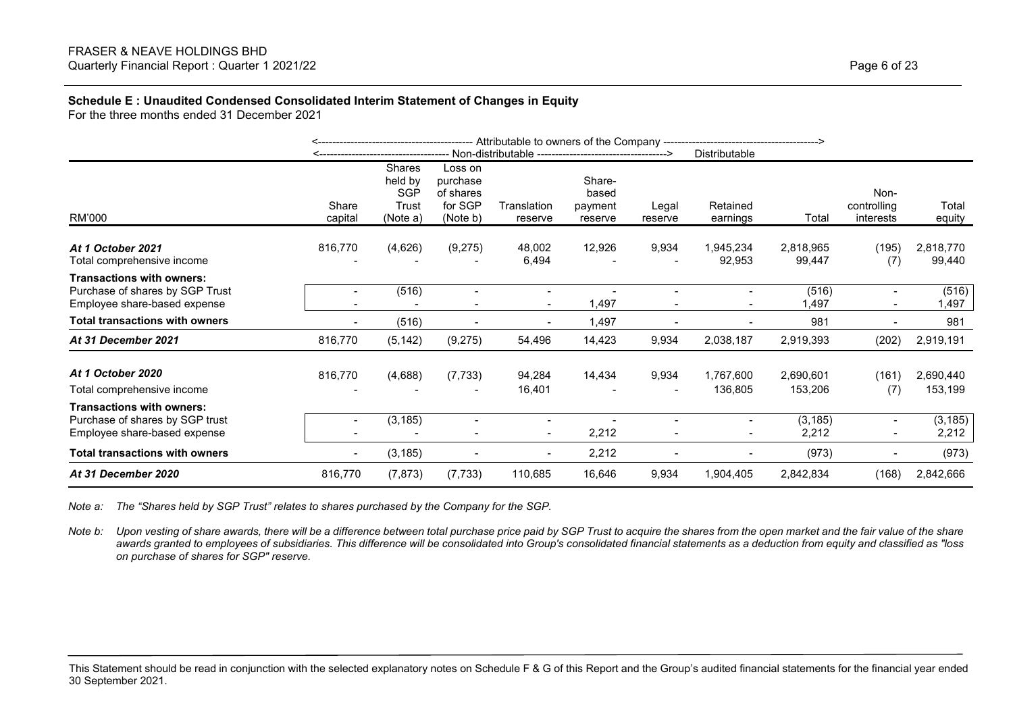### **Schedule E : Unaudited Condensed Consolidated Interim Statement of Changes in Equity**

For the three months ended 31 December 2021

|                                                                                                     |                  |                                               |                                                         |                        | <b>Distributable</b>                  |                                   |                          |                      |                                  |                      |
|-----------------------------------------------------------------------------------------------------|------------------|-----------------------------------------------|---------------------------------------------------------|------------------------|---------------------------------------|-----------------------------------|--------------------------|----------------------|----------------------------------|----------------------|
| RM'000                                                                                              | Share<br>capital | Shares<br>held by<br>SGP<br>Trust<br>(Note a) | Loss on<br>purchase<br>of shares<br>for SGP<br>(Note b) | Translation<br>reserve | Share-<br>based<br>payment<br>reserve | Legal<br>reserve                  | Retained<br>earnings     | Total                | Non-<br>controlling<br>interests | Total<br>equity      |
| At 1 October 2021<br>Total comprehensive income                                                     | 816,770          | (4,626)                                       | (9,275)                                                 | 48,002<br>6,494        | 12,926                                | 9,934                             | 1,945,234<br>92,953      | 2,818,965<br>99,447  | (195)<br>(7)                     | 2,818,770<br>99,440  |
| <b>Transactions with owners:</b><br>Purchase of shares by SGP Trust<br>Employee share-based expense |                  | (516)                                         |                                                         | $\sim$                 | 1,497                                 | $\overline{\phantom{a}}$          | $\overline{\phantom{a}}$ | (516)<br>,497        | $\overline{a}$<br>$\blacksquare$ | (516)<br>1,497       |
| <b>Total transactions with owners</b>                                                               |                  | (516)                                         |                                                         |                        | 1,497                                 |                                   | $\overline{\phantom{a}}$ | 981                  | $\blacksquare$                   | 981                  |
| At 31 December 2021                                                                                 | 816,770          | (5, 142)                                      | (9,275)                                                 | 54,496                 | 14,423                                | 9,934                             | 2,038,187                | 2,919,393            | (202)                            | 2,919,191            |
| At 1 October 2020<br>Total comprehensive income                                                     | 816,770          | (4,688)                                       | (7, 733)                                                | 94,284<br>16,401       | 14,434                                | 9,934<br>$\overline{\phantom{a}}$ | 1,767,600<br>136,805     | 2,690,601<br>153,206 | (161)<br>(7)                     | 2,690,440<br>153,199 |
| <b>Transactions with owners:</b><br>Purchase of shares by SGP trust<br>Employee share-based expense |                  | (3, 185)                                      |                                                         |                        | 2,212                                 |                                   | $\overline{\phantom{a}}$ | (3, 185)<br>2,212    | $\overline{a}$<br>$\blacksquare$ | (3, 185)<br>2,212    |
| <b>Total transactions with owners</b>                                                               |                  | (3, 185)                                      |                                                         |                        | 2,212                                 |                                   |                          | (973)                |                                  | (973)                |
| At 31 December 2020                                                                                 | 816,770          | (7, 873)                                      | (7, 733)                                                | 110,685                | 16,646                                | 9,934                             | 1,904,405                | 2,842,834            | (168)                            | 2,842,666            |

*Note a: The "Shares held by SGP Trust" relates to shares purchased by the Company for the SGP.*

*Note b: Upon vesting of share awards, there will be a difference between total purchase price paid by SGP Trust to acquire the shares from the open market and the fair value of the share awards granted to employees of subsidiaries. This difference will be consolidated into Group's consolidated financial statements as a deduction from equity and classified as "loss on purchase of shares for SGP" reserve.*

This Statement should be read in conjunction with the selected explanatory notes on Schedule F & G of this Report and the Group's audited financial statements for the financial year ended 30 September 2021.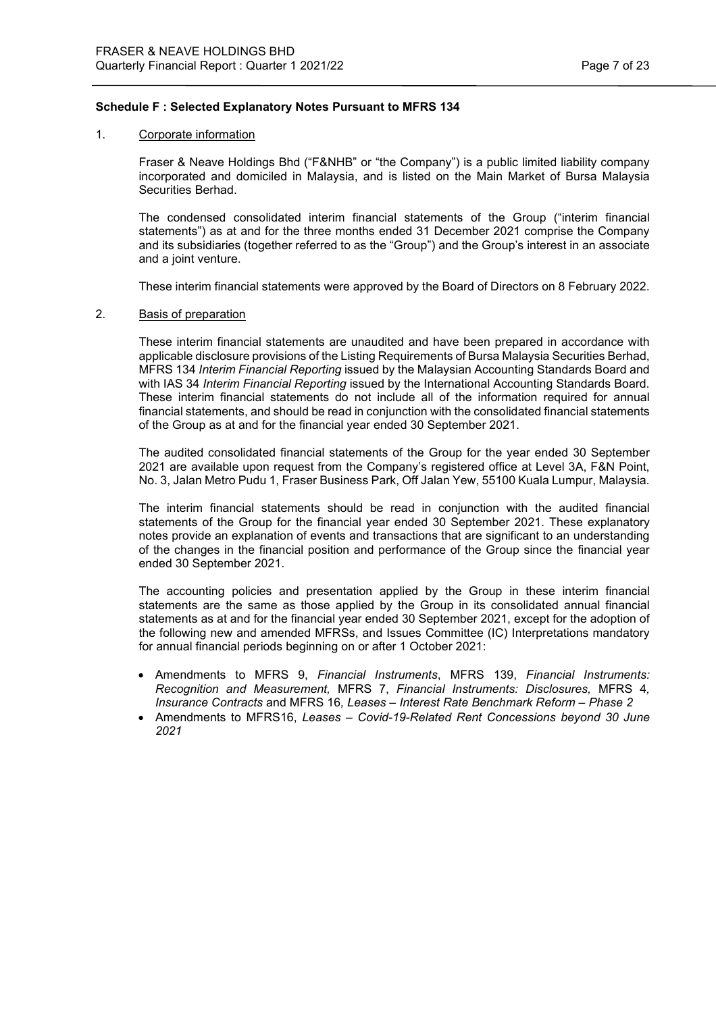## **Schedule F : Selected Explanatory Notes Pursuant to MFRS 134**

#### 1. Corporate information

L

Fraser & Neave Holdings Bhd ("F&NHB" or "the Company") is a public limited liability company incorporated and domiciled in Malaysia, and is listed on the Main Market of Bursa Malaysia Securities Berhad.

The condensed consolidated interim financial statements of the Group ("interim financial statements") as at and for the three months ended 31 December 2021 comprise the Company and its subsidiaries (together referred to as the "Group") and the Group's interest in an associate and a joint venture.

These interim financial statements were approved by the Board of Directors on 8 February 2022.

#### 2. Basis of preparation

These interim financial statements are unaudited and have been prepared in accordance with applicable disclosure provisions of the Listing Requirements of Bursa Malaysia Securities Berhad, MFRS 134 *Interim Financial Reporting* issued by the Malaysian Accounting Standards Board and with IAS 34 *Interim Financial Reporting* issued by the International Accounting Standards Board. These interim financial statements do not include all of the information required for annual financial statements, and should be read in conjunction with the consolidated financial statements of the Group as at and for the financial year ended 30 September 2021.

The audited consolidated financial statements of the Group for the year ended 30 September 2021 are available upon request from the Company's registered office at Level 3A, F&N Point, No. 3, Jalan Metro Pudu 1, Fraser Business Park, Off Jalan Yew, 55100 Kuala Lumpur, Malaysia.

The interim financial statements should be read in conjunction with the audited financial statements of the Group for the financial year ended 30 September 2021. These explanatory notes provide an explanation of events and transactions that are significant to an understanding of the changes in the financial position and performance of the Group since the financial year ended 30 September 2021.

The accounting policies and presentation applied by the Group in these interim financial statements are the same as those applied by the Group in its consolidated annual financial statements as at and for the financial year ended 30 September 2021, except for the adoption of the following new and amended MFRSs, and Issues Committee (IC) Interpretations mandatory for annual financial periods beginning on or after 1 October 2021:

- Amendments to MFRS 9, *Financial Instruments*, MFRS 139, *Financial Instruments: Recognition and Measurement,* MFRS 7, *Financial Instruments: Disclosures,* MFRS 4*, Insurance Contracts* and MFRS 16*, Leases – Interest Rate Benchmark Reform – Phase 2*
- Amendments to MFRS16, *Leases – Covid-19-Related Rent Concessions beyond 30 June 2021*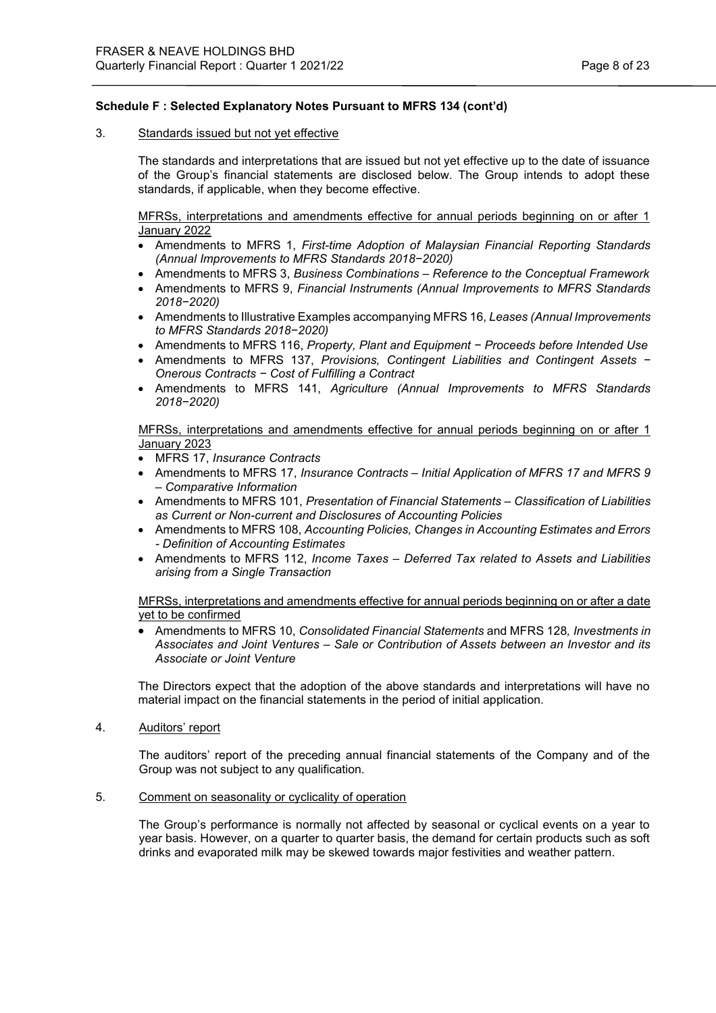## 3. Standards issued but not yet effective

The standards and interpretations that are issued but not yet effective up to the date of issuance of the Group's financial statements are disclosed below. The Group intends to adopt these standards, if applicable, when they become effective.

MFRSs, interpretations and amendments effective for annual periods beginning on or after 1 January 2022

- Amendments to MFRS 1, *First-time Adoption of Malaysian Financial Reporting Standards (Annual Improvements to MFRS Standards 2018−2020)*
- Amendments to MFRS 3, *Business Combinations – Reference to the Conceptual Framework*
- Amendments to MFRS 9, *Financial Instruments (Annual Improvements to MFRS Standards 2018−2020)*
- Amendments to Illustrative Examples accompanying MFRS 16, *Leases (Annual Improvements to MFRS Standards 2018−2020)*
- Amendments to MFRS 116, *Property, Plant and Equipment − Proceeds before Intended Use*
- Amendments to MFRS 137, *Provisions, Contingent Liabilities and Contingent Assets − Onerous Contracts − Cost of Fulfilling a Contract*
- Amendments to MFRS 141, *Agriculture (Annual Improvements to MFRS Standards 2018−2020)*

MFRSs, interpretations and amendments effective for annual periods beginning on or after 1 January 2023

- MFRS 17, *Insurance Contracts*
- Amendments to MFRS 17, *Insurance Contracts – Initial Application of MFRS 17 and MFRS 9 – Comparative Information*
- Amendments to MFRS 101, *Presentation of Financial Statements – Classification of Liabilities as Current or Non-current and Disclosures of Accounting Policies*
- Amendments to MFRS 108, *Accounting Policies, Changes in Accounting Estimates and Errors - Definition of Accounting Estimates*
- Amendments to MFRS 112, *Income Taxes – Deferred Tax related to Assets and Liabilities arising from a Single Transaction*

MFRSs, interpretations and amendments effective for annual periods beginning on or after a date yet to be confirmed

• Amendments to MFRS 10, *Consolidated Financial Statements* and MFRS 128*, Investments in Associates and Joint Ventures – Sale or Contribution of Assets between an Investor and its Associate or Joint Venture*

The Directors expect that the adoption of the above standards and interpretations will have no material impact on the financial statements in the period of initial application.

4. Auditors' report

The auditors' report of the preceding annual financial statements of the Company and of the Group was not subject to any qualification.

5. Comment on seasonality or cyclicality of operation

The Group's performance is normally not affected by seasonal or cyclical events on a year to year basis. However, on a quarter to quarter basis, the demand for certain products such as soft drinks and evaporated milk may be skewed towards major festivities and weather pattern.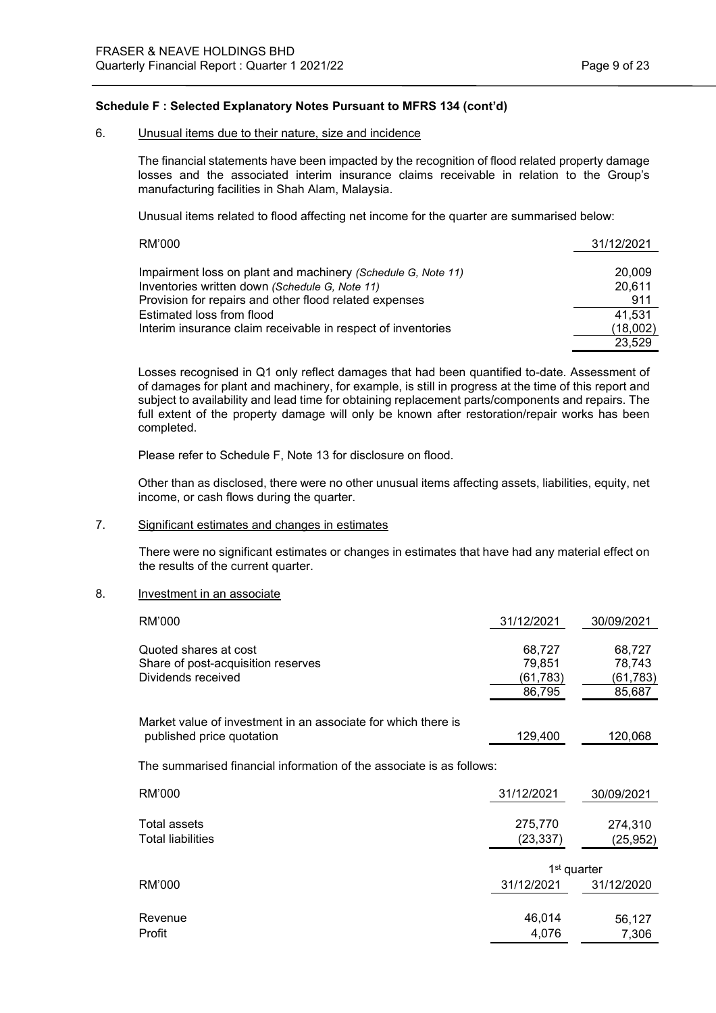#### 6. Unusual items due to their nature, size and incidence

The financial statements have been impacted by the recognition of flood related property damage losses and the associated interim insurance claims receivable in relation to the Group's manufacturing facilities in Shah Alam, Malaysia.

Unusual items related to flood affecting net income for the quarter are summarised below:

| RM'000                                                       | 31/12/2021 |
|--------------------------------------------------------------|------------|
|                                                              |            |
| Impairment loss on plant and machinery (Schedule G, Note 11) | 20,009     |
| Inventories written down (Schedule G, Note 11)               | 20,611     |
| Provision for repairs and other flood related expenses       | 911        |
| Estimated loss from flood                                    | 41,531     |
| Interim insurance claim receivable in respect of inventories | (18,002)   |
|                                                              | 23.529     |

Losses recognised in Q1 only reflect damages that had been quantified to-date. Assessment of of damages for plant and machinery, for example, is still in progress at the time of this report and subject to availability and lead time for obtaining replacement parts/components and repairs. The full extent of the property damage will only be known after restoration/repair works has been completed.

Please refer to Schedule F, Note 13 for disclosure on flood.

Other than as disclosed, there were no other unusual items affecting assets, liabilities, equity, net income, or cash flows during the quarter.

## 7. Significant estimates and changes in estimates

There were no significant estimates or changes in estimates that have had any material effect on the results of the current quarter.

## 8. Investment in an associate

| RM'000                                                                                     | 31/12/2021                             | 30/09/2021                             |
|--------------------------------------------------------------------------------------------|----------------------------------------|----------------------------------------|
| Quoted shares at cost<br>Share of post-acquisition reserves<br>Dividends received          | 68,727<br>79,851<br>(61,783)<br>86,795 | 68,727<br>78,743<br>(61,783)<br>85,687 |
| Market value of investment in an associate for which there is<br>published price quotation | 129,400                                | 120,068                                |
| The summarised financial information of the associate is as follows:                       |                                        |                                        |
| RM'000                                                                                     | 31/12/2021                             | 30/09/2021                             |
| Total assets<br><b>Total liabilities</b>                                                   | 275,770<br>(23, 337)                   | 274,310<br>(25, 952)                   |
| RM'000                                                                                     | 1 <sup>st</sup> quarter<br>31/12/2021  | 31/12/2020                             |
| Revenue<br>Profit                                                                          | 46,014<br>4,076                        | 56,127<br>7,306                        |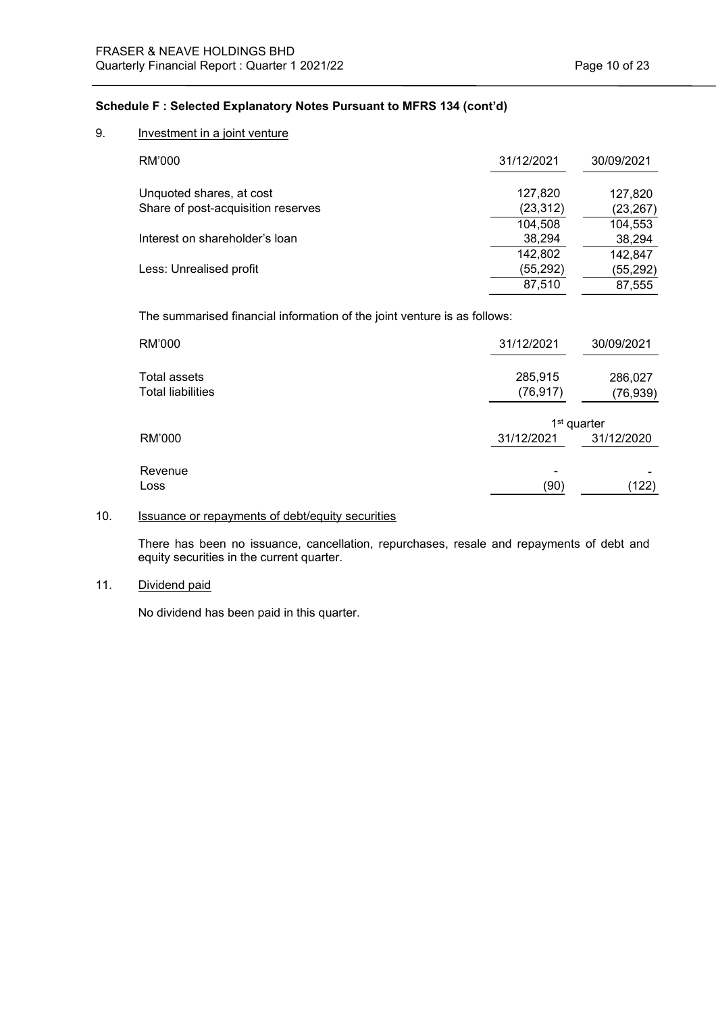# 9. Investment in a joint venture

| RM'000                             | 31/12/2021 | 30/09/2021 |
|------------------------------------|------------|------------|
| Unquoted shares, at cost           | 127,820    | 127,820    |
| Share of post-acquisition reserves | (23, 312)  | (23, 267)  |
|                                    | 104,508    | 104,553    |
| Interest on shareholder's loan     | 38,294     | 38,294     |
|                                    | 142,802    | 142,847    |
| Less: Unrealised profit            | (55, 292)  | (55, 292)  |
|                                    | 87,510     | 87.555     |

The summarised financial information of the joint venture is as follows:

| RM'000                                   | 31/12/2021           | 30/09/2021                            |
|------------------------------------------|----------------------|---------------------------------------|
| Total assets<br><b>Total liabilities</b> | 285,915<br>(76, 917) | 286,027<br>(76, 939)                  |
| RM'000                                   | 31/12/2021           | 1 <sup>st</sup> quarter<br>31/12/2020 |
| Revenue<br>Loss                          | (90)                 | (122)                                 |

# 10. **Issuance or repayments of debt/equity securities**

There has been no issuance, cancellation, repurchases, resale and repayments of debt and equity securities in the current quarter.

# 11. Dividend paid

No dividend has been paid in this quarter.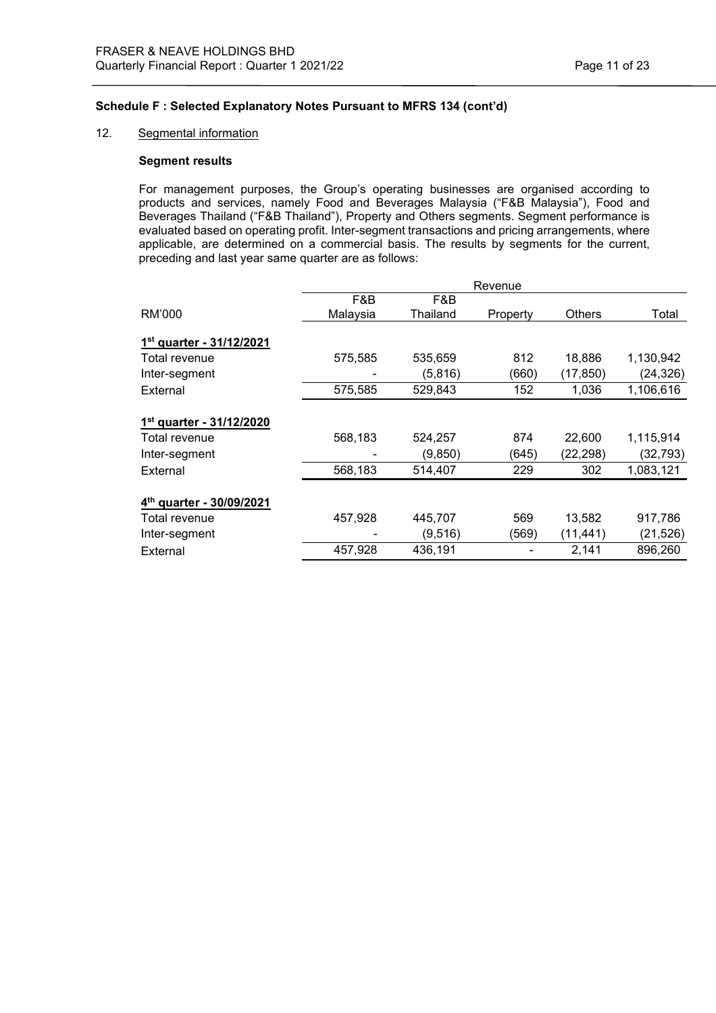## 12. Segmental information

#### **Segment results**

For management purposes, the Group's operating businesses are organised according to products and services, namely Food and Beverages Malaysia ("F&B Malaysia"), Food and Beverages Thailand ("F&B Thailand"), Property and Others segments. Segment performance is evaluated based on operating profit. Inter-segment transactions and pricing arrangements, where applicable, are determined on a commercial basis. The results by segments for the current, preceding and last year same quarter are as follows:

|                                      |          | Revenue  |          |               |           |  |
|--------------------------------------|----------|----------|----------|---------------|-----------|--|
|                                      | F&B      | F&B      |          |               |           |  |
| RM'000                               | Malaysia | Thailand | Property | <b>Others</b> | Total     |  |
| 1 <sup>st</sup> quarter - 31/12/2021 |          |          |          |               |           |  |
| Total revenue                        | 575,585  | 535,659  | 812      | 18,886        | 1,130,942 |  |
| Inter-segment                        |          | (5,816)  | (660)    | (17,850)      | (24, 326) |  |
| External                             | 575,585  | 529,843  | 152      | 1,036         | 1,106,616 |  |
| 1 <sup>st</sup> quarter - 31/12/2020 |          |          |          |               |           |  |
| Total revenue                        | 568,183  | 524,257  | 874      | 22,600        | 1,115,914 |  |
| Inter-segment                        |          | (9,850)  | (645)    | (22,298)      | (32, 793) |  |
| External                             | 568,183  | 514,407  | 229      | 302           | 1,083,121 |  |
| 4 <sup>th</sup> quarter - 30/09/2021 |          |          |          |               |           |  |
| Total revenue                        | 457,928  | 445,707  | 569      | 13,582        | 917,786   |  |
| Inter-segment                        |          | (9,516)  | (569)    | (11, 441)     | (21, 526) |  |
| External                             | 457,928  | 436,191  |          | 2,141         | 896,260   |  |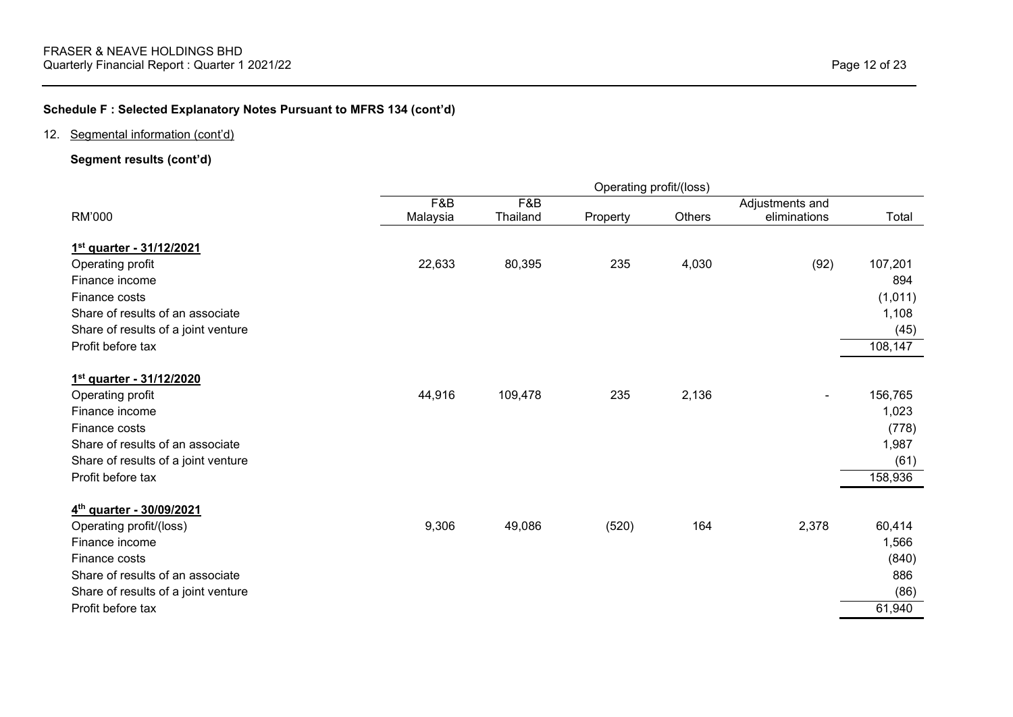# 12. Segmental information (cont'd)

# **Segment results (cont'd)**

|                                     | Operating profit/(loss) |          |          |        |                 |         |
|-------------------------------------|-------------------------|----------|----------|--------|-----------------|---------|
|                                     | F&B                     | F&B      |          |        | Adjustments and |         |
| RM'000                              | Malaysia                | Thailand | Property | Others | eliminations    | Total   |
| 1st quarter - 31/12/2021            |                         |          |          |        |                 |         |
| Operating profit                    | 22,633                  | 80,395   | 235      | 4,030  | (92)            | 107,201 |
| Finance income                      |                         |          |          |        |                 | 894     |
| Finance costs                       |                         |          |          |        |                 | (1,011) |
| Share of results of an associate    |                         |          |          |        |                 | 1,108   |
| Share of results of a joint venture |                         |          |          |        |                 | (45)    |
| Profit before tax                   |                         |          |          |        |                 | 108,147 |
| 1st quarter - 31/12/2020            |                         |          |          |        |                 |         |
| Operating profit                    | 44,916                  | 109,478  | 235      | 2,136  |                 | 156,765 |
| Finance income                      |                         |          |          |        |                 | 1,023   |
| Finance costs                       |                         |          |          |        |                 | (778)   |
| Share of results of an associate    |                         |          |          |        |                 | 1,987   |
| Share of results of a joint venture |                         |          |          |        |                 | (61)    |
| Profit before tax                   |                         |          |          |        |                 | 158,936 |
| 4th quarter - 30/09/2021            |                         |          |          |        |                 |         |
| Operating profit/(loss)             | 9,306                   | 49,086   | (520)    | 164    | 2,378           | 60,414  |
| Finance income                      |                         |          |          |        |                 | 1,566   |
| Finance costs                       |                         |          |          |        |                 | (840)   |
| Share of results of an associate    |                         |          |          |        |                 | 886     |
| Share of results of a joint venture |                         |          |          |        |                 | (86)    |
| Profit before tax                   |                         |          |          |        |                 | 61,940  |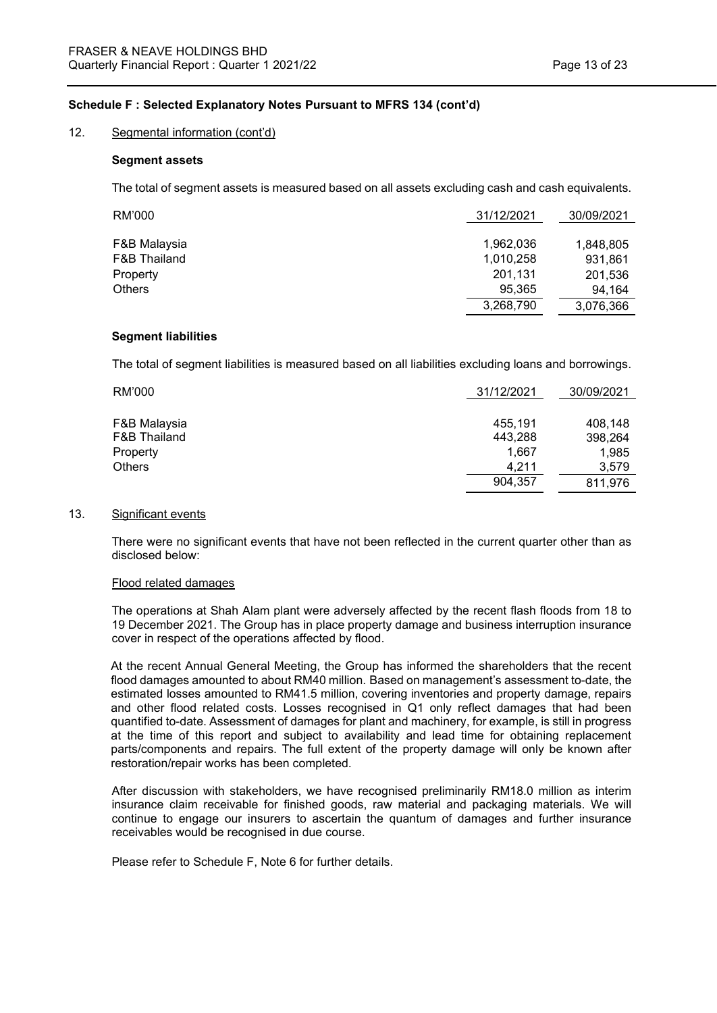#### 12. Segmental information (cont'd)

#### **Segment assets**

The total of segment assets is measured based on all assets excluding cash and cash equivalents.

| RM'000       | 31/12/2021 | 30/09/2021 |
|--------------|------------|------------|
|              |            |            |
| F&B Malaysia | 1,962,036  | 1,848,805  |
| F&B Thailand | 1,010,258  | 931,861    |
| Property     | 201,131    | 201,536    |
| Others       | 95,365     | 94,164     |
|              | 3,268,790  | 3,076,366  |

#### **Segment liabilities**

The total of segment liabilities is measured based on all liabilities excluding loans and borrowings.

| RM'000       | 31/12/2021 | 30/09/2021 |
|--------------|------------|------------|
|              |            |            |
| F&B Malaysia | 455.191    | 408.148    |
| F&B Thailand | 443,288    | 398,264    |
| Property     | 1.667      | 1,985      |
| Others       | 4.211      | 3.579      |
|              | 904,357    | 811,976    |

#### 13. Significant events

There were no significant events that have not been reflected in the current quarter other than as disclosed below:

#### Flood related damages

The operations at Shah Alam plant were adversely affected by the recent flash floods from 18 to 19 December 2021. The Group has in place property damage and business interruption insurance cover in respect of the operations affected by flood.

At the recent Annual General Meeting, the Group has informed the shareholders that the recent flood damages amounted to about RM40 million. Based on management's assessment to-date, the estimated losses amounted to RM41.5 million, covering inventories and property damage, repairs and other flood related costs. Losses recognised in Q1 only reflect damages that had been quantified to-date. Assessment of damages for plant and machinery, for example, is still in progress at the time of this report and subject to availability and lead time for obtaining replacement parts/components and repairs. The full extent of the property damage will only be known after restoration/repair works has been completed.

After discussion with stakeholders, we have recognised preliminarily RM18.0 million as interim insurance claim receivable for finished goods, raw material and packaging materials. We will continue to engage our insurers to ascertain the quantum of damages and further insurance receivables would be recognised in due course.

Please refer to Schedule F, Note 6 for further details.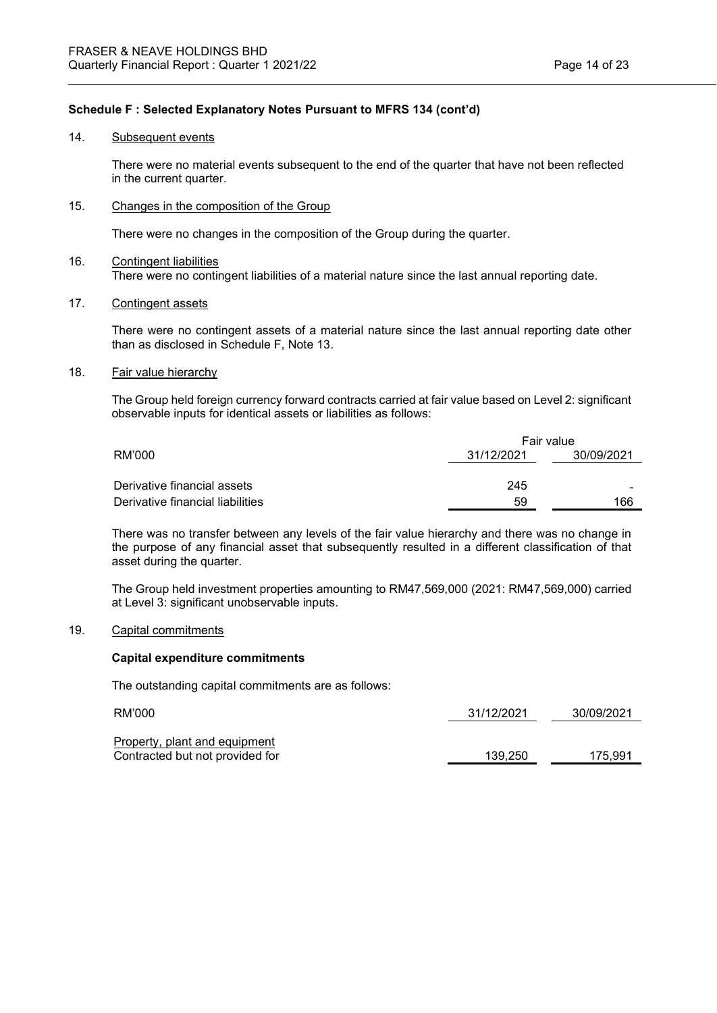#### 14. Subsequent events

There were no material events subsequent to the end of the quarter that have not been reflected in the current quarter.

15. Changes in the composition of the Group

There were no changes in the composition of the Group during the quarter.

- 16. Contingent liabilities There were no contingent liabilities of a material nature since the last annual reporting date.
- 17. Contingent assets

There were no contingent assets of a material nature since the last annual reporting date other than as disclosed in Schedule F, Note 13.

18. Fair value hierarchy

The Group held foreign currency forward contracts carried at fair value based on Level 2: significant observable inputs for identical assets or liabilities as follows:

|                                  | Fair value |            |  |  |
|----------------------------------|------------|------------|--|--|
| RM'000                           | 31/12/2021 | 30/09/2021 |  |  |
|                                  |            |            |  |  |
| Derivative financial assets      | 245        | -          |  |  |
| Derivative financial liabilities | 59         | 166        |  |  |

There was no transfer between any levels of the fair value hierarchy and there was no change in the purpose of any financial asset that subsequently resulted in a different classification of that asset during the quarter.

The Group held investment properties amounting to RM47,569,000 (2021: RM47,569,000) carried at Level 3: significant unobservable inputs.

## 19. Capital commitments

## **Capital expenditure commitments**

The outstanding capital commitments are as follows:

| RM'000                          | 31/12/2021 | 30/09/2021 |
|---------------------------------|------------|------------|
| Property, plant and equipment   |            |            |
| Contracted but not provided for | 139.250    | 175.991    |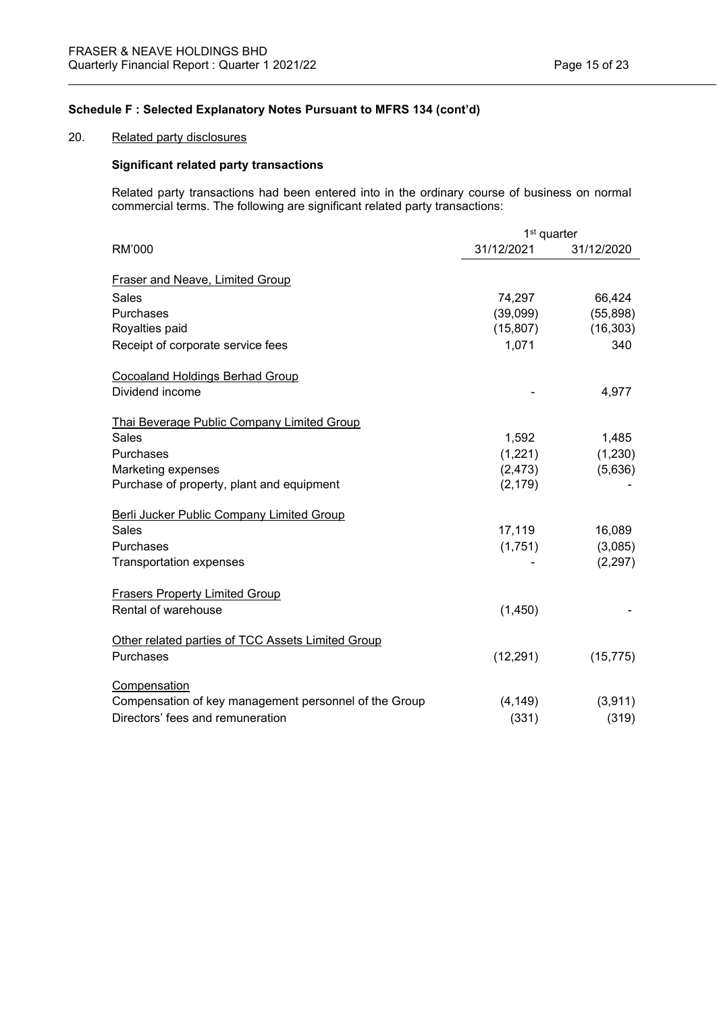## 20. Related party disclosures

## **Significant related party transactions**

Related party transactions had been entered into in the ordinary course of business on normal commercial terms. The following are significant related party transactions:

|                                                       | 1 <sup>st</sup> quarter |            |  |
|-------------------------------------------------------|-------------------------|------------|--|
| <b>RM'000</b>                                         | 31/12/2021              | 31/12/2020 |  |
| Fraser and Neave, Limited Group                       |                         |            |  |
| <b>Sales</b>                                          | 74,297                  | 66,424     |  |
| Purchases                                             | (39,099)                | (55, 898)  |  |
| Royalties paid                                        | (15, 807)               | (16, 303)  |  |
| Receipt of corporate service fees                     | 1,071                   | 340        |  |
| <b>Cocoaland Holdings Berhad Group</b>                |                         |            |  |
| Dividend income                                       |                         | 4,977      |  |
| Thai Beverage Public Company Limited Group            |                         |            |  |
| Sales                                                 | 1,592                   | 1,485      |  |
| Purchases                                             | (1,221)                 | (1,230)    |  |
| Marketing expenses                                    | (2, 473)                | (5,636)    |  |
| Purchase of property, plant and equipment             | (2, 179)                |            |  |
| Berli Jucker Public Company Limited Group             |                         |            |  |
| <b>Sales</b>                                          | 17,119                  | 16,089     |  |
| Purchases                                             | (1,751)                 | (3,085)    |  |
| <b>Transportation expenses</b>                        |                         | (2, 297)   |  |
| <b>Frasers Property Limited Group</b>                 |                         |            |  |
| Rental of warehouse                                   | (1,450)                 |            |  |
| Other related parties of TCC Assets Limited Group     |                         |            |  |
| Purchases                                             | (12, 291)               | (15, 775)  |  |
| Compensation                                          |                         |            |  |
| Compensation of key management personnel of the Group | (4, 149)                | (3,911)    |  |
| Directors' fees and remuneration                      | (331)                   | (319)      |  |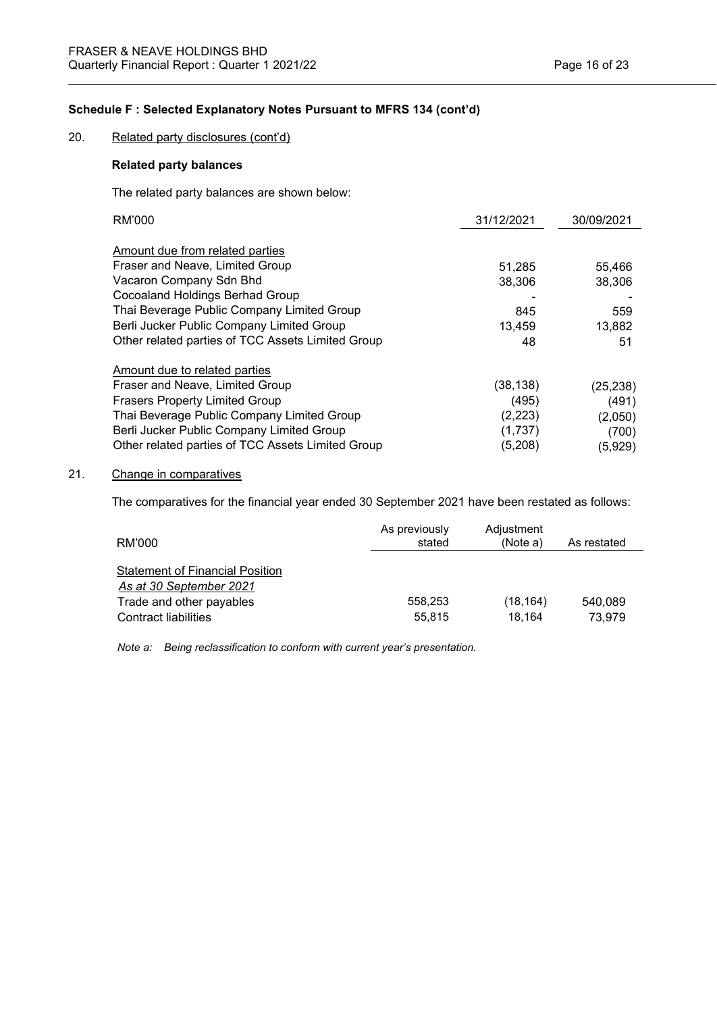20. Related party disclosures (cont'd)

# **Related party balances**

The related party balances are shown below:

| RM'000                                            | 31/12/2021 | 30/09/2021 |
|---------------------------------------------------|------------|------------|
|                                                   |            |            |
| Amount due from related parties                   |            |            |
| Fraser and Neave, Limited Group                   | 51,285     | 55,466     |
| Vacaron Company Sdn Bhd                           | 38,306     | 38,306     |
| Cocoaland Holdings Berhad Group                   |            |            |
| Thai Beverage Public Company Limited Group        | 845        | 559        |
| Berli Jucker Public Company Limited Group         | 13,459     | 13,882     |
| Other related parties of TCC Assets Limited Group | 48         | 51         |
| Amount due to related parties                     |            |            |
| Fraser and Neave, Limited Group                   | (38, 138)  | (25, 238)  |
| <b>Frasers Property Limited Group</b>             | (495)      | (491)      |
| Thai Beverage Public Company Limited Group        | (2,223)    | (2,050)    |
| Berli Jucker Public Company Limited Group         | (1,737)    | (700)      |
| Other related parties of TCC Assets Limited Group | (5,208)    | (5,929)    |

## 21. Change in comparatives

The comparatives for the financial year ended 30 September 2021 have been restated as follows:

| RM'000                                                                                                                | As previously<br>stated | Adjustment<br>(Note a) | As restated       |
|-----------------------------------------------------------------------------------------------------------------------|-------------------------|------------------------|-------------------|
| <b>Statement of Financial Position</b><br>As at 30 September 2021<br>Trade and other payables<br>Contract liabilities | 558.253<br>55.815       | (18, 164)<br>18.164    | 540.089<br>73.979 |

*Note a: Being reclassification to conform with current year's presentation.*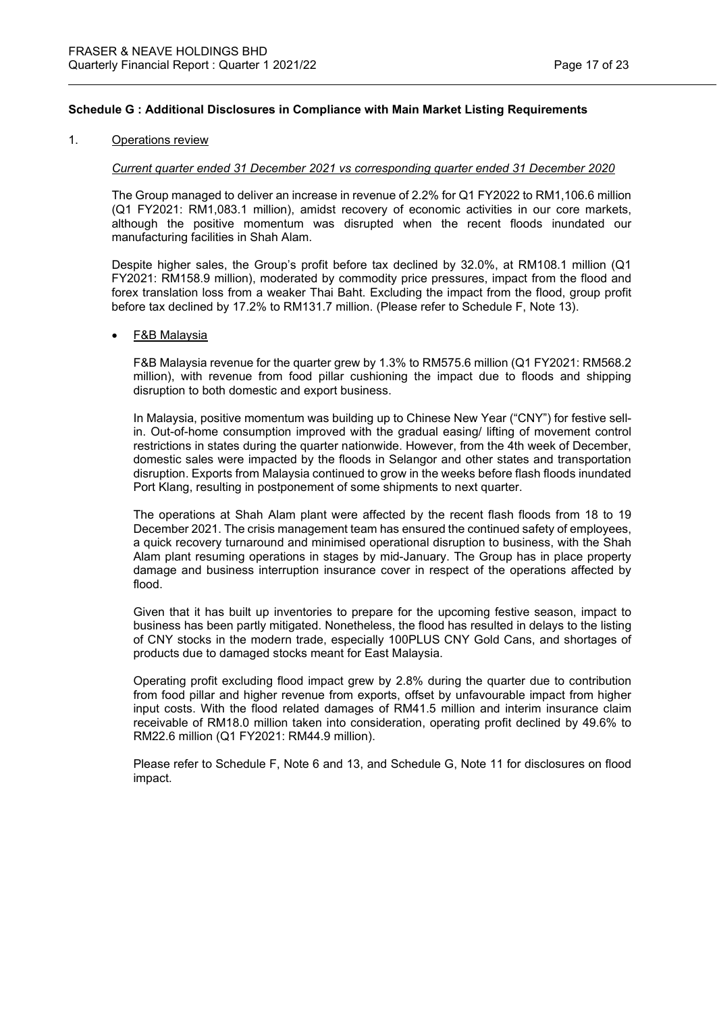#### 1. Operations review

#### *Current quarter ended 31 December 2021 vs corresponding quarter ended 31 December 2020*

The Group managed to deliver an increase in revenue of 2.2% for Q1 FY2022 to RM1,106.6 million (Q1 FY2021: RM1,083.1 million), amidst recovery of economic activities in our core markets, although the positive momentum was disrupted when the recent floods inundated our manufacturing facilities in Shah Alam.

Despite higher sales, the Group's profit before tax declined by 32.0%, at RM108.1 million (Q1 FY2021: RM158.9 million), moderated by commodity price pressures, impact from the flood and forex translation loss from a weaker Thai Baht. Excluding the impact from the flood, group profit before tax declined by 17.2% to RM131.7 million. (Please refer to Schedule F, Note 13).

#### • F&B Malaysia

F&B Malaysia revenue for the quarter grew by 1.3% to RM575.6 million (Q1 FY2021: RM568.2 million), with revenue from food pillar cushioning the impact due to floods and shipping disruption to both domestic and export business.

In Malaysia, positive momentum was building up to Chinese New Year ("CNY") for festive sellin. Out-of-home consumption improved with the gradual easing/ lifting of movement control restrictions in states during the quarter nationwide. However, from the 4th week of December, domestic sales were impacted by the floods in Selangor and other states and transportation disruption. Exports from Malaysia continued to grow in the weeks before flash floods inundated Port Klang, resulting in postponement of some shipments to next quarter.

The operations at Shah Alam plant were affected by the recent flash floods from 18 to 19 December 2021. The crisis management team has ensured the continued safety of employees, a quick recovery turnaround and minimised operational disruption to business, with the Shah Alam plant resuming operations in stages by mid-January. The Group has in place property damage and business interruption insurance cover in respect of the operations affected by flood.

Given that it has built up inventories to prepare for the upcoming festive season, impact to business has been partly mitigated. Nonetheless, the flood has resulted in delays to the listing of CNY stocks in the modern trade, especially 100PLUS CNY Gold Cans, and shortages of products due to damaged stocks meant for East Malaysia.

Operating profit excluding flood impact grew by 2.8% during the quarter due to contribution from food pillar and higher revenue from exports, offset by unfavourable impact from higher input costs. With the flood related damages of RM41.5 million and interim insurance claim receivable of RM18.0 million taken into consideration, operating profit declined by 49.6% to RM22.6 million (Q1 FY2021: RM44.9 million).

Please refer to Schedule F, Note 6 and 13, and Schedule G, Note 11 for disclosures on flood impact.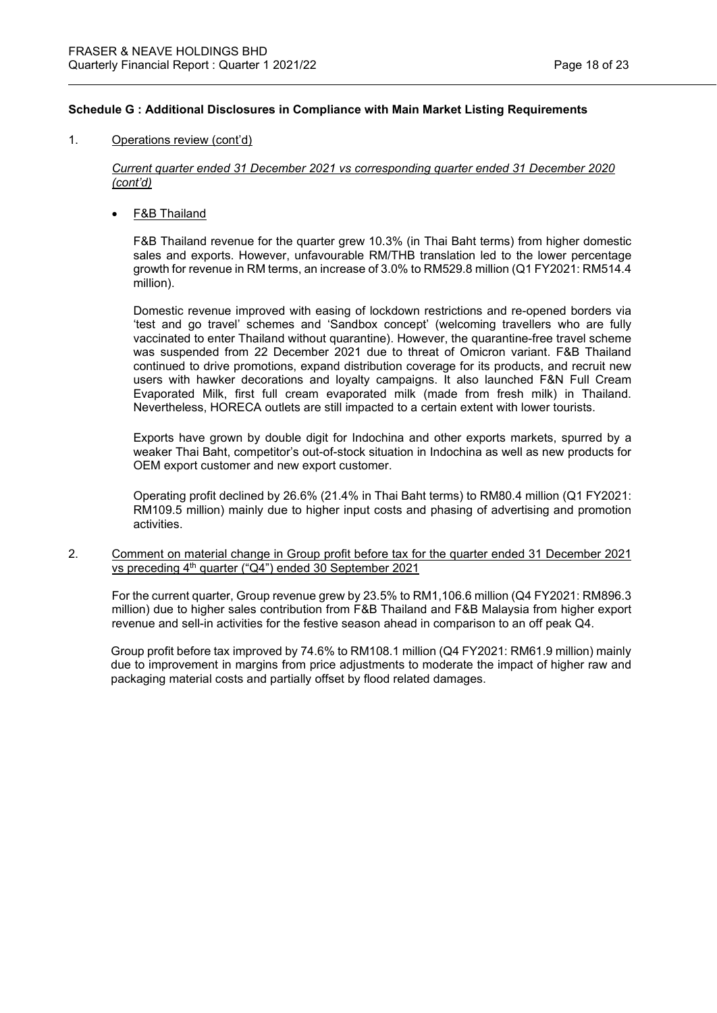### 1. Operations review (cont'd)

*Current quarter ended 31 December 2021 vs corresponding quarter ended 31 December 2020 (cont'd)*

**F&B Thailand** 

F&B Thailand revenue for the quarter grew 10.3% (in Thai Baht terms) from higher domestic sales and exports. However, unfavourable RM/THB translation led to the lower percentage growth for revenue in RM terms, an increase of 3.0% to RM529.8 million (Q1 FY2021: RM514.4 million).

Domestic revenue improved with easing of lockdown restrictions and re-opened borders via 'test and go travel' schemes and 'Sandbox concept' (welcoming travellers who are fully vaccinated to enter Thailand without quarantine). However, the quarantine-free travel scheme was suspended from 22 December 2021 due to threat of Omicron variant. F&B Thailand continued to drive promotions, expand distribution coverage for its products, and recruit new users with hawker decorations and loyalty campaigns. It also launched F&N Full Cream Evaporated Milk, first full cream evaporated milk (made from fresh milk) in Thailand. Nevertheless, HORECA outlets are still impacted to a certain extent with lower tourists.

Exports have grown by double digit for Indochina and other exports markets, spurred by a weaker Thai Baht, competitor's out-of-stock situation in Indochina as well as new products for OEM export customer and new export customer.

Operating profit declined by 26.6% (21.4% in Thai Baht terms) to RM80.4 million (Q1 FY2021: RM109.5 million) mainly due to higher input costs and phasing of advertising and promotion activities.

2. Comment on material change in Group profit before tax for the quarter ended 31 December 2021 vs preceding 4<sup>th</sup> quarter ("Q4") ended 30 September 2021

For the current quarter, Group revenue grew by 23.5% to RM1,106.6 million (Q4 FY2021: RM896.3 million) due to higher sales contribution from F&B Thailand and F&B Malaysia from higher export revenue and sell-in activities for the festive season ahead in comparison to an off peak Q4.

Group profit before tax improved by 74.6% to RM108.1 million (Q4 FY2021: RM61.9 million) mainly due to improvement in margins from price adjustments to moderate the impact of higher raw and packaging material costs and partially offset by flood related damages.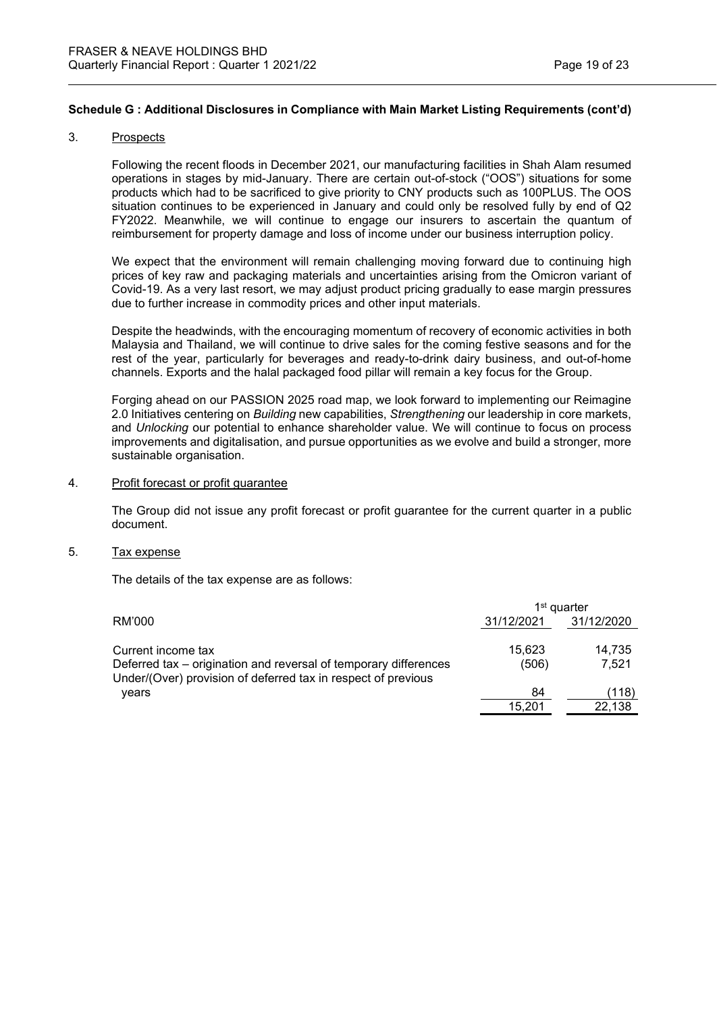#### 3. Prospects

Following the recent floods in December 2021, our manufacturing facilities in Shah Alam resumed operations in stages by mid-January. There are certain out-of-stock ("OOS") situations for some products which had to be sacrificed to give priority to CNY products such as 100PLUS. The OOS situation continues to be experienced in January and could only be resolved fully by end of Q2 FY2022. Meanwhile, we will continue to engage our insurers to ascertain the quantum of reimbursement for property damage and loss of income under our business interruption policy.

We expect that the environment will remain challenging moving forward due to continuing high prices of key raw and packaging materials and uncertainties arising from the Omicron variant of Covid-19. As a very last resort, we may adjust product pricing gradually to ease margin pressures due to further increase in commodity prices and other input materials.

Despite the headwinds, with the encouraging momentum of recovery of economic activities in both Malaysia and Thailand, we will continue to drive sales for the coming festive seasons and for the rest of the year, particularly for beverages and ready-to-drink dairy business, and out-of-home channels. Exports and the halal packaged food pillar will remain a key focus for the Group.

Forging ahead on our PASSION 2025 road map, we look forward to implementing our Reimagine 2.0 Initiatives centering on *Building* new capabilities, *Strengthening* our leadership in core markets, and *Unlocking* our potential to enhance shareholder value. We will continue to focus on process improvements and digitalisation, and pursue opportunities as we evolve and build a stronger, more sustainable organisation.

#### 4. Profit forecast or profit guarantee

The Group did not issue any profit forecast or profit guarantee for the current quarter in a public document.

# 5. Tax expense

The details of the tax expense are as follows:

|                                                                                                                                   | 1 <sup>st</sup> quarter |            |  |
|-----------------------------------------------------------------------------------------------------------------------------------|-------------------------|------------|--|
| RM'000                                                                                                                            | 31/12/2021              | 31/12/2020 |  |
| Current income tax                                                                                                                | 15.623                  | 14,735     |  |
| Deferred tax – origination and reversal of temporary differences<br>Under/(Over) provision of deferred tax in respect of previous | (506)                   | 7.521      |  |
| years                                                                                                                             | 84                      | (118)      |  |
|                                                                                                                                   | 15.201                  | 22.138     |  |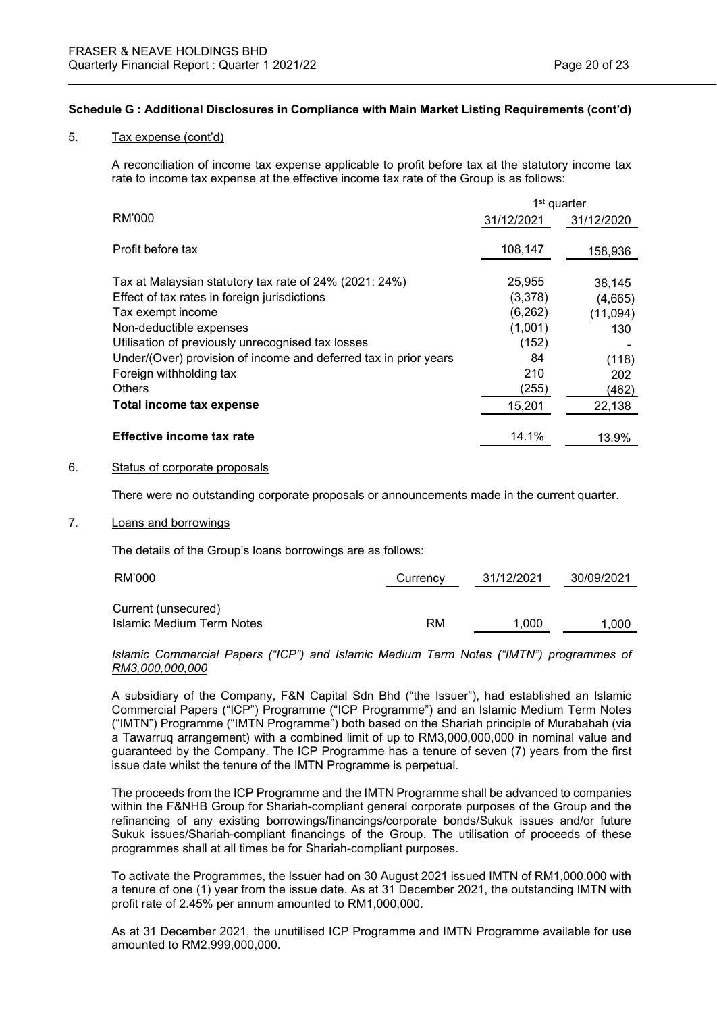#### 5. Tax expense (cont'd)

A reconciliation of income tax expense applicable to profit before tax at the statutory income tax rate to income tax expense at the effective income tax rate of the Group is as follows:

|                                                                              | 1 <sup>st</sup> quarter |                     |
|------------------------------------------------------------------------------|-------------------------|---------------------|
| RM'000                                                                       | 31/12/2021              | 31/12/2020          |
| Profit before tax                                                            | 108,147                 | 158,936             |
| Tax at Malaysian statutory tax rate of 24% (2021: 24%)                       | 25,955                  | 38,145              |
| Effect of tax rates in foreign jurisdictions<br>Tax exempt income            | (3,378)<br>(6, 262)     | (4,665)<br>(11,094) |
| Non-deductible expenses<br>Utilisation of previously unrecognised tax losses | (1,001)<br>(152)        | 130                 |
| Under/(Over) provision of income and deferred tax in prior years             | 84                      | (118)               |
| Foreign withholding tax<br>Others                                            | 210<br>(255)            | 202<br>(462)        |
| Total income tax expense                                                     | 15,201                  | 22,138              |
| Effective income tax rate                                                    | 14.1%                   | 13.9%               |

# 6. Status of corporate proposals

There were no outstanding corporate proposals or announcements made in the current quarter.

# 7. Loans and borrowings

The details of the Group's loans borrowings are as follows:

| RM'000                    | Currency | 31/12/2021 | 30/09/2021 |
|---------------------------|----------|------------|------------|
| Current (unsecured)       |          |            |            |
| Islamic Medium Term Notes | RM       | 1.000      | 1.000      |

#### *Islamic Commercial Papers ("ICP") and Islamic Medium Term Notes ("IMTN") programmes of RM3,000,000,000*

A subsidiary of the Company, F&N Capital Sdn Bhd ("the Issuer"), had established an Islamic Commercial Papers ("ICP") Programme ("ICP Programme") and an Islamic Medium Term Notes ("IMTN") Programme ("IMTN Programme") both based on the Shariah principle of Murabahah (via a Tawarruq arrangement) with a combined limit of up to RM3,000,000,000 in nominal value and guaranteed by the Company. The ICP Programme has a tenure of seven (7) years from the first issue date whilst the tenure of the IMTN Programme is perpetual.

The proceeds from the ICP Programme and the IMTN Programme shall be advanced to companies within the F&NHB Group for Shariah-compliant general corporate purposes of the Group and the refinancing of any existing borrowings/financings/corporate bonds/Sukuk issues and/or future Sukuk issues/Shariah-compliant financings of the Group. The utilisation of proceeds of these programmes shall at all times be for Shariah-compliant purposes.

To activate the Programmes, the Issuer had on 30 August 2021 issued IMTN of RM1,000,000 with a tenure of one (1) year from the issue date. As at 31 December 2021, the outstanding IMTN with profit rate of 2.45% per annum amounted to RM1,000,000.

As at 31 December 2021, the unutilised ICP Programme and IMTN Programme available for use amounted to RM2,999,000,000.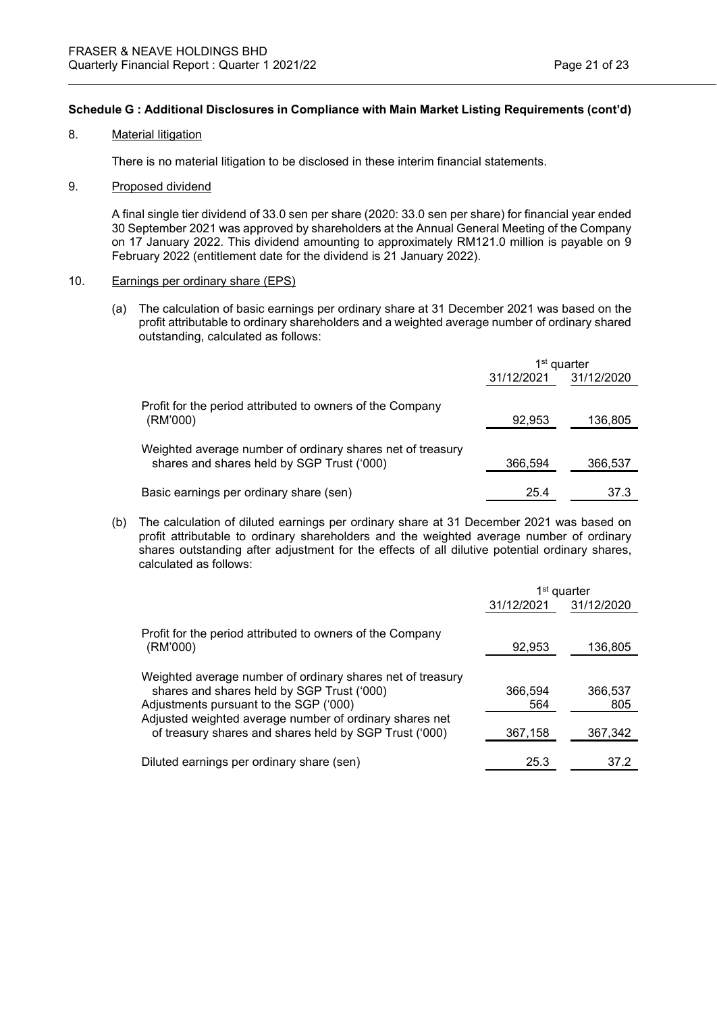#### 8. Material litigation

There is no material litigation to be disclosed in these interim financial statements.

### 9. Proposed dividend

A final single tier dividend of 33.0 sen per share (2020: 33.0 sen per share) for financial year ended 30 September 2021 was approved by shareholders at the Annual General Meeting of the Company on 17 January 2022. This dividend amounting to approximately RM121.0 million is payable on 9 February 2022 (entitlement date for the dividend is 21 January 2022).

#### 10. Earnings per ordinary share (EPS)

(a) The calculation of basic earnings per ordinary share at 31 December 2021 was based on the profit attributable to ordinary shareholders and a weighted average number of ordinary shared outstanding, calculated as follows:

|                                                            | 1 <sup>st</sup> quarter |            |
|------------------------------------------------------------|-------------------------|------------|
|                                                            | 31/12/2021              | 31/12/2020 |
| Profit for the period attributed to owners of the Company  |                         |            |
| (RM'000)                                                   | 92,953                  | 136,805    |
| Weighted average number of ordinary shares net of treasury |                         |            |
| shares and shares held by SGP Trust ('000)                 | 366,594                 | 366,537    |
| Basic earnings per ordinary share (sen)                    | 25.4                    | 37.3       |

(b) The calculation of diluted earnings per ordinary share at 31 December 2021 was based on profit attributable to ordinary shareholders and the weighted average number of ordinary shares outstanding after adjustment for the effects of all dilutive potential ordinary shares, calculated as follows:

|                                                                                                                                                                                                                                                                         | 1 <sup>st</sup> quarter   |                           |
|-------------------------------------------------------------------------------------------------------------------------------------------------------------------------------------------------------------------------------------------------------------------------|---------------------------|---------------------------|
|                                                                                                                                                                                                                                                                         | 31/12/2021                | 31/12/2020                |
| Profit for the period attributed to owners of the Company<br>(RM'000)                                                                                                                                                                                                   | 92,953                    | 136,805                   |
| Weighted average number of ordinary shares net of treasury<br>shares and shares held by SGP Trust ('000)<br>Adjustments pursuant to the SGP ('000)<br>Adjusted weighted average number of ordinary shares net<br>of treasury shares and shares held by SGP Trust ('000) | 366,594<br>564<br>367,158 | 366,537<br>805<br>367,342 |
| Diluted earnings per ordinary share (sen)                                                                                                                                                                                                                               | 25.3                      | 37.2                      |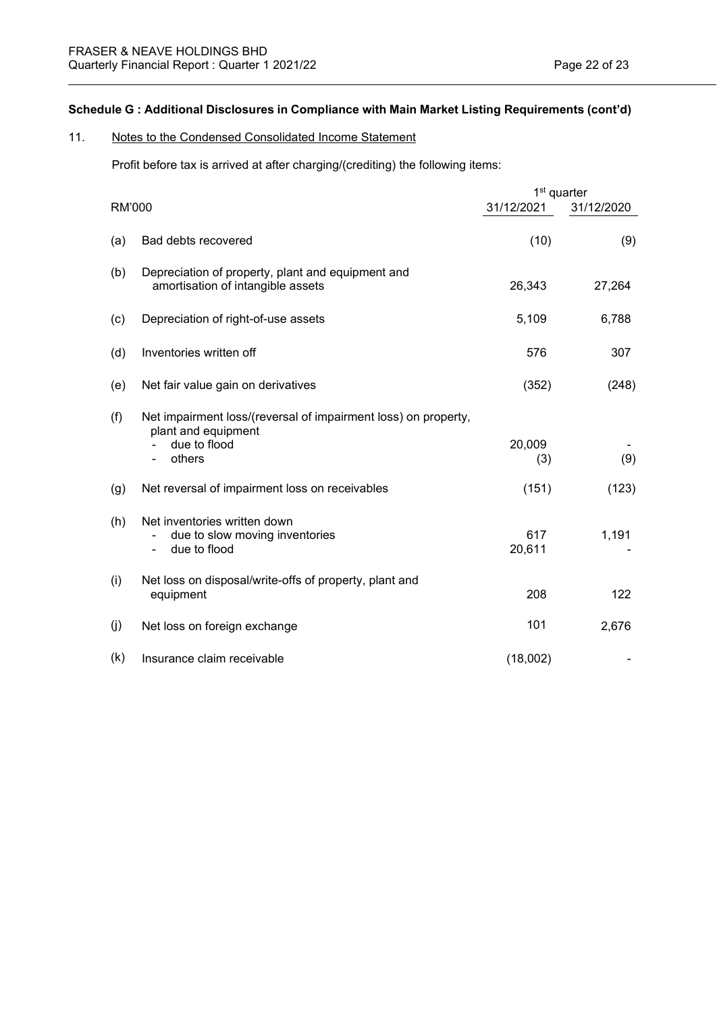## 11. Notes to the Condensed Consolidated Income Statement

Profit before tax is arrived at after charging/(crediting) the following items:

|        |                                                                                        |               | 1 <sup>st</sup> quarter |
|--------|----------------------------------------------------------------------------------------|---------------|-------------------------|
| RM'000 |                                                                                        | 31/12/2021    | 31/12/2020              |
| (a)    | Bad debts recovered                                                                    | (10)          | (9)                     |
| (b)    | Depreciation of property, plant and equipment and<br>amortisation of intangible assets | 26,343        | 27,264                  |
| (c)    | Depreciation of right-of-use assets                                                    | 5,109         | 6,788                   |
| (d)    | Inventories written off                                                                | 576           | 307                     |
| (e)    | Net fair value gain on derivatives                                                     | (352)         | (248)                   |
| (f)    | Net impairment loss/(reversal of impairment loss) on property,<br>plant and equipment  |               |                         |
|        | due to flood<br>others                                                                 | 20,009<br>(3) | (9)                     |
| (g)    | Net reversal of impairment loss on receivables                                         | (151)         | (123)                   |
| (h)    | Net inventories written down<br>due to slow moving inventories<br>due to flood<br>٠    | 617<br>20,611 | 1,191                   |
| (i)    | Net loss on disposal/write-offs of property, plant and<br>equipment                    | 208           | 122                     |
| (j)    | Net loss on foreign exchange                                                           | 101           | 2,676                   |
| (k)    | Insurance claim receivable                                                             | (18,002)      |                         |